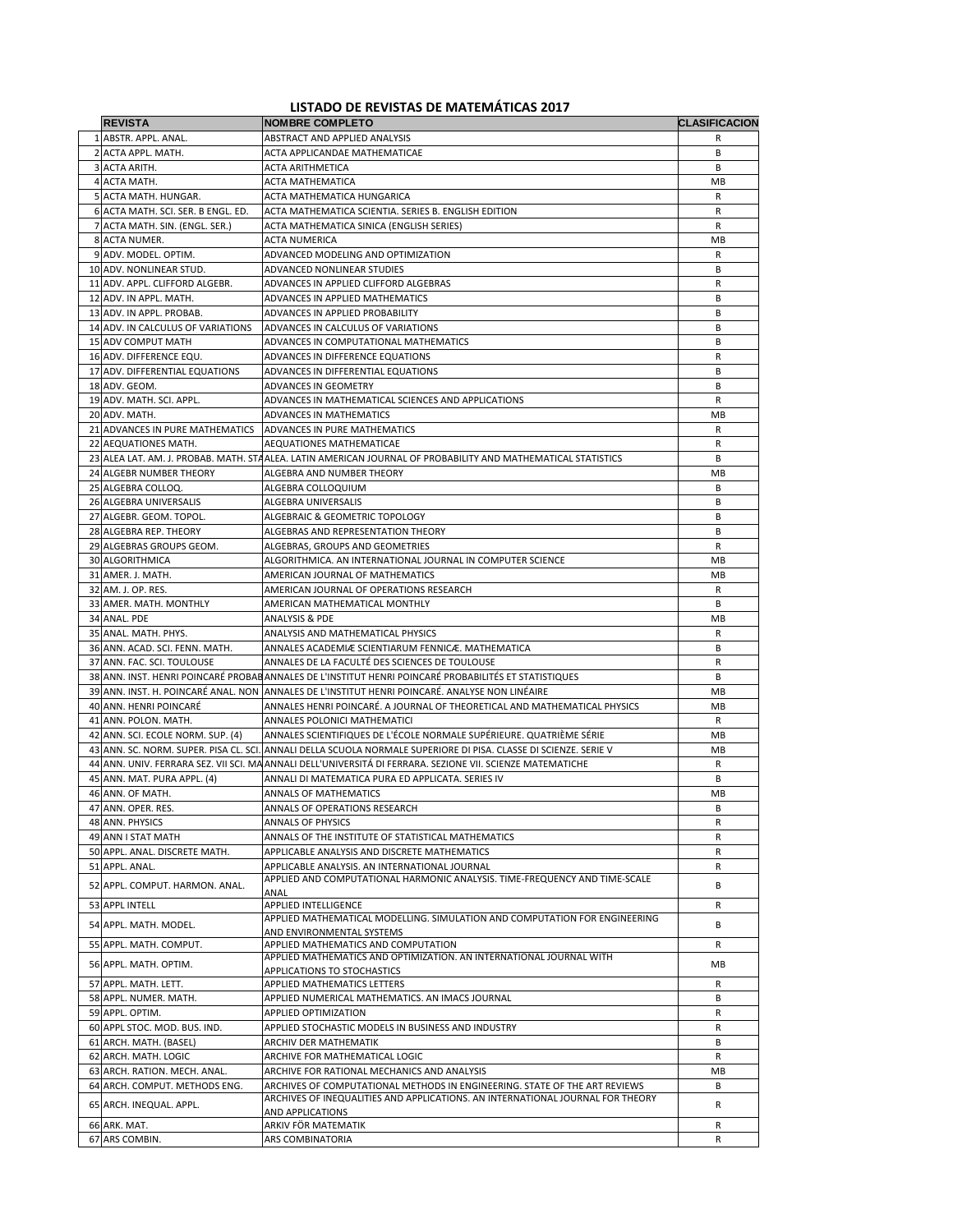## **LISTADO DE REVISTAS DE MATEMÁTICAS 2017**

| <b>REVISTA</b>                            | <b>NOMBRE COMPLETO</b>                                                                                                                                                                                  | <b>CLASIFICACION</b> |
|-------------------------------------------|---------------------------------------------------------------------------------------------------------------------------------------------------------------------------------------------------------|----------------------|
| 1 ABSTR. APPL. ANAL.                      | <b>ABSTRACT AND APPLIED ANALYSIS</b>                                                                                                                                                                    | R                    |
| 2 ACTA APPL. MATH.                        | ACTA APPLICANDAE MATHEMATICAE                                                                                                                                                                           | B                    |
| 3 ACTA ARITH.                             | ACTA ARITHMETICA                                                                                                                                                                                        | B                    |
| 4 ACTA MATH.                              | <b>ACTA MATHEMATICA</b>                                                                                                                                                                                 | MB                   |
| 5 ACTA MATH. HUNGAR.                      | ACTA MATHEMATICA HUNGARICA                                                                                                                                                                              | R                    |
| 6 ACTA MATH, SCI, SER, B ENGL, ED.        | ACTA MATHEMATICA SCIENTIA. SERIES B. ENGLISH EDITION                                                                                                                                                    | R                    |
| 7 ACTA MATH. SIN. (ENGL. SER.)            | ACTA MATHEMATICA SINICA (ENGLISH SERIES)                                                                                                                                                                | R                    |
| 8 ACTA NUMER.                             | <b>ACTA NUMERICA</b>                                                                                                                                                                                    | МB                   |
| 9 ADV. MODEL. OPTIM.                      | ADVANCED MODELING AND OPTIMIZATION                                                                                                                                                                      | R                    |
| 10 ADV. NONLINEAR STUD.                   | ADVANCED NONLINEAR STUDIES                                                                                                                                                                              | В                    |
| 11 ADV. APPL. CLIFFORD ALGEBR.            | ADVANCES IN APPLIED CLIFFORD ALGEBRAS                                                                                                                                                                   | R                    |
| 12 ADV. IN APPL. MATH.                    | ADVANCES IN APPLIED MATHEMATICS                                                                                                                                                                         | B                    |
| 13 ADV. IN APPL. PROBAB.                  | ADVANCES IN APPLIED PROBABILITY                                                                                                                                                                         | В                    |
| 14 ADV. IN CALCULUS OF VARIATIONS         | ADVANCES IN CALCULUS OF VARIATIONS                                                                                                                                                                      | B                    |
| 15 ADV COMPUT MATH                        | ADVANCES IN COMPUTATIONAL MATHEMATICS                                                                                                                                                                   | B                    |
| 16 ADV. DIFFERENCE EQU.                   | ADVANCES IN DIFFERENCE EQUATIONS                                                                                                                                                                        | R                    |
| 17 ADV. DIFFERENTIAL EQUATIONS            | ADVANCES IN DIFFERENTIAL EQUATIONS                                                                                                                                                                      | В                    |
| 18 ADV. GEOM.<br>19 ADV. MATH. SCI. APPL. | ADVANCES IN GEOMETRY<br>ADVANCES IN MATHEMATICAL SCIENCES AND APPLICATIONS                                                                                                                              | В<br>R               |
| 20 ADV. MATH.                             | ADVANCES IN MATHEMATICS                                                                                                                                                                                 | MВ                   |
| 21 ADVANCES IN PURE MATHEMATICS           | ADVANCES IN PURE MATHEMATICS                                                                                                                                                                            | R                    |
| 22 AEQUATIONES MATH.                      | AEQUATIONES MATHEMATICAE                                                                                                                                                                                | R                    |
|                                           | 23 ALEA LAT. AM. J. PROBAB. MATH. STAALEA. LATIN AMERICAN JOURNAL OF PROBABILITY AND MATHEMATICAL STATISTICS                                                                                            | B                    |
| 24 ALGEBR NUMBER THEORY                   | ALGEBRA AND NUMBER THEORY                                                                                                                                                                               | MB                   |
| 25 ALGEBRA COLLOQ.                        | ALGEBRA COLLOQUIUM                                                                                                                                                                                      | B                    |
| 26 ALGEBRA UNIVERSALIS                    | ALGEBRA UNIVERSALIS                                                                                                                                                                                     | В                    |
| 27 ALGEBR. GEOM. TOPOL.                   | ALGEBRAIC & GEOMETRIC TOPOLOGY                                                                                                                                                                          | B                    |
| 28 ALGEBRA REP. THEORY                    | ALGEBRAS AND REPRESENTATION THEORY                                                                                                                                                                      | В                    |
| 29 ALGEBRAS GROUPS GEOM.                  | ALGEBRAS, GROUPS AND GEOMETRIES                                                                                                                                                                         | R                    |
| 30 ALGORITHMICA                           | ALGORITHMICA. AN INTERNATIONAL JOURNAL IN COMPUTER SCIENCE                                                                                                                                              | MB                   |
| 31 AMER. J. MATH.                         | AMERICAN JOURNAL OF MATHEMATICS                                                                                                                                                                         | МB                   |
| 32 AM. J. OP. RES.                        | AMERICAN JOURNAL OF OPERATIONS RESEARCH                                                                                                                                                                 | R                    |
| 33 AMER. MATH. MONTHLY                    | AMERICAN MATHEMATICAL MONTHLY                                                                                                                                                                           | В                    |
| 34 ANAL. PDE                              | ANALYSIS & PDE                                                                                                                                                                                          | МB                   |
| 35 ANAL. MATH. PHYS.                      | ANALYSIS AND MATHEMATICAL PHYSICS                                                                                                                                                                       | R                    |
| 36 ANN. ACAD. SCI. FENN. MATH.            | ANNALES ACADEMIÆ SCIENTIARUM FENNICÆ. MATHEMATICA                                                                                                                                                       | B                    |
| 37 ANN. FAC. SCI. TOULOUSE                | ANNALES DE LA FACULTÉ DES SCIENCES DE TOULOUSE                                                                                                                                                          | R                    |
|                                           | 38 ANN. INST. HENRI POINCARÉ PROBABANNALES DE L'INSTITUT HENRI POINCARÉ PROBABILITÉS ET STATISTIQUES<br>39 ANN. INST. H. POINCARÉ ANAL. NON JANNALES DE L'INSTITUT HENRI POINCARÉ. ANALYSE NON LINÉAIRE | В<br>MB              |
| 40 ANN. HENRI POINCARÉ                    | ANNALES HENRI POINCARÉ. A JOURNAL OF THEORETICAL AND MATHEMATICAL PHYSICS                                                                                                                               | MB                   |
| 41 ANN. POLON. MATH.                      | ANNALES POLONICI MATHEMATICI                                                                                                                                                                            | R                    |
| 42 ANN. SCI. ECOLE NORM. SUP. (4)         | ANNALES SCIENTIFIQUES DE L'ÉCOLE NORMALE SUPÉRIEURE. QUATRIÈME SÉRIE                                                                                                                                    | МB                   |
|                                           | 43 ANN. SC. NORM. SUPER. PISA CL. SCI. ANNALI DELLA SCUOLA NORMALE SUPERIORE DI PISA. CLASSE DI SCIENZE. SERIE V                                                                                        | МB                   |
|                                           | 44 ANN. UNIV. FERRARA SEZ. VII SCI. MA ANNALI DELL'UNIVERSITÀ DI FERRARA. SEZIONE VII. SCIENZE MATEMATICHE                                                                                              | R                    |
| 45 ANN. MAT. PURA APPL. (4)               | ANNALI DI MATEMATICA PURA ED APPLICATA. SERIES IV                                                                                                                                                       | В                    |
| 46 ANN. OF MATH.                          | ANNALS OF MATHEMATICS                                                                                                                                                                                   | MB                   |
| 47 ANN. OPER. RES.                        | ANNALS OF OPERATIONS RESEARCH                                                                                                                                                                           | B                    |
| 48 ANN. PHYSICS                           | <b>ANNALS OF PHYSICS</b>                                                                                                                                                                                | R                    |
| 49 ANN I STAT MATH                        | ANNALS OF THE INSTITUTE OF STATISTICAL MATHEMATICS                                                                                                                                                      | R                    |
| 50 APPL. ANAL. DISCRETE MATH.             | APPLICABLE ANALYSIS AND DISCRETE MATHEMATICS                                                                                                                                                            | R                    |
| 51 APPL. ANAL.                            | APPLICABLE ANALYSIS. AN INTERNATIONAL JOURNAL                                                                                                                                                           | R                    |
| 52 APPL. COMPUT. HARMON. ANAL.            | APPLIED AND COMPUTATIONAL HARMONIC ANALYSIS. TIME-FREQUENCY AND TIME-SCALE                                                                                                                              | В                    |
| 53 APPL INTELL                            | ANAL<br>APPLIED INTELLIGENCE                                                                                                                                                                            | R                    |
|                                           | APPLIED MATHEMATICAL MODELLING. SIMULATION AND COMPUTATION FOR ENGINEERING                                                                                                                              |                      |
| 54 APPL. MATH. MODEL.                     | AND ENVIRONMENTAL SYSTEMS                                                                                                                                                                               | B                    |
| 55 APPL. MATH. COMPUT.                    | APPLIED MATHEMATICS AND COMPUTATION                                                                                                                                                                     | R                    |
| 56 APPL. MATH. OPTIM.                     | APPLIED MATHEMATICS AND OPTIMIZATION. AN INTERNATIONAL JOURNAL WITH                                                                                                                                     | МB                   |
| 57 APPL. MATH. LETT.                      | APPLICATIONS TO STOCHASTICS<br>APPLIED MATHEMATICS LETTERS                                                                                                                                              | R                    |
| 58 APPL. NUMER. MATH.                     | APPLIED NUMERICAL MATHEMATICS. AN IMACS JOURNAL                                                                                                                                                         | В                    |
| 59 APPL. OPTIM.                           | <b>APPLIED OPTIMIZATION</b>                                                                                                                                                                             | R                    |
| 60 APPL STOC. MOD. BUS. IND.              | APPLIED STOCHASTIC MODELS IN BUSINESS AND INDUSTRY                                                                                                                                                      | R                    |
| 61 ARCH. MATH. (BASEL)                    | ARCHIV DER MATHEMATIK                                                                                                                                                                                   | B                    |
| 62 ARCH. MATH. LOGIC                      | ARCHIVE FOR MATHEMATICAL LOGIC                                                                                                                                                                          | R                    |
| 63 ARCH. RATION. MECH. ANAL.              | ARCHIVE FOR RATIONAL MECHANICS AND ANALYSIS                                                                                                                                                             | MB                   |
| 64 ARCH. COMPUT. METHODS ENG.             | ARCHIVES OF COMPUTATIONAL METHODS IN ENGINEERING. STATE OF THE ART REVIEWS                                                                                                                              | В                    |
| 65 ARCH. INEQUAL. APPL.                   | ARCHIVES OF INEQUALITIES AND APPLICATIONS. AN INTERNATIONAL JOURNAL FOR THEORY                                                                                                                          | R                    |
|                                           | AND APPLICATIONS<br>ARKIV FÖR MATEMATIK                                                                                                                                                                 | R                    |
| 66 ARK. MAT.<br>67 ARS COMBIN.            | ARS COMBINATORIA                                                                                                                                                                                        | R                    |
|                                           |                                                                                                                                                                                                         |                      |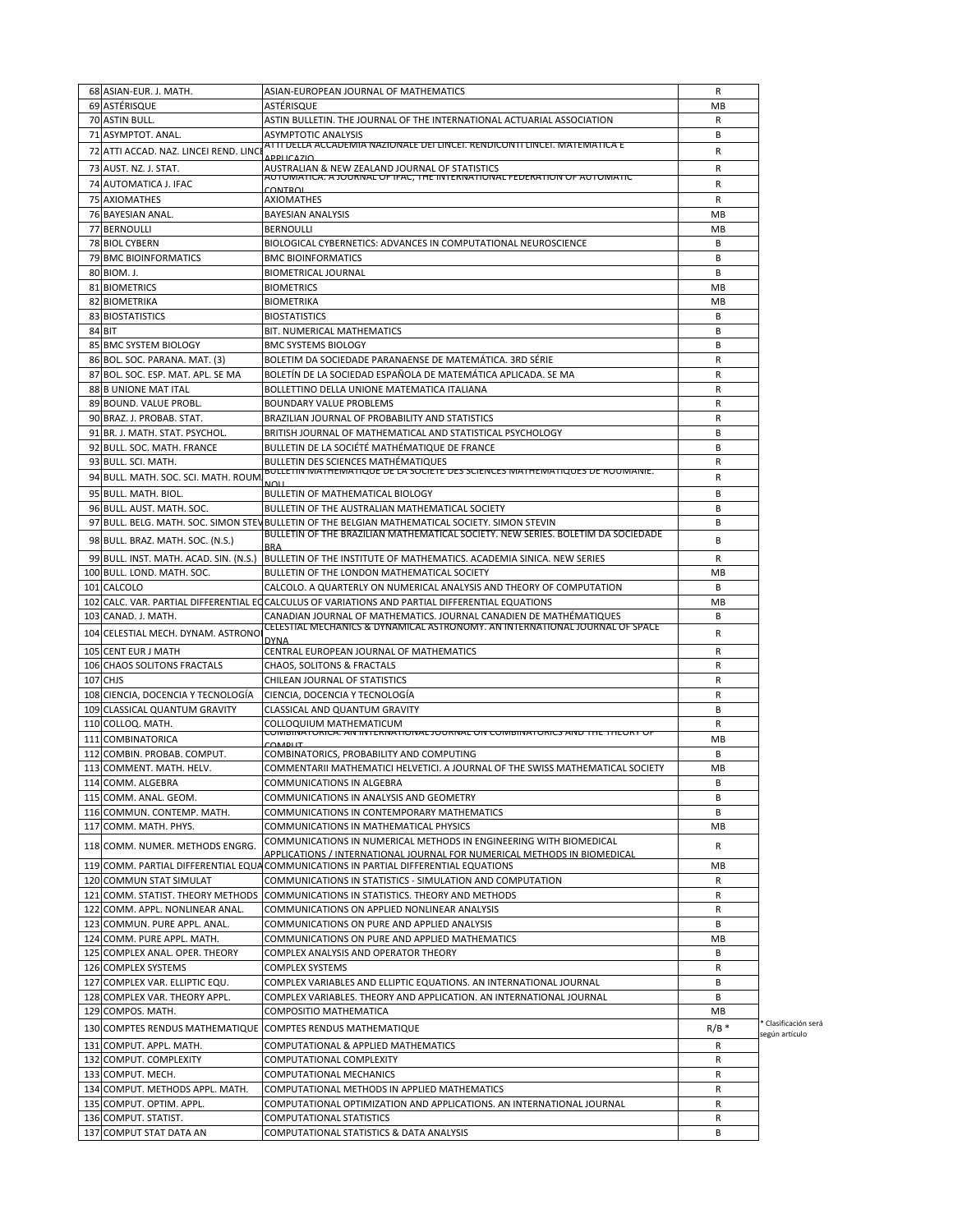| 68 ASIAN-EUR. J. MATH.                                      | ASIAN-EUROPEAN JOURNAL OF MATHEMATICS                                                                                                                                   | R         |                                        |
|-------------------------------------------------------------|-------------------------------------------------------------------------------------------------------------------------------------------------------------------------|-----------|----------------------------------------|
| 69 ASTÉRISQUE                                               | ASTÉRISQUE                                                                                                                                                              | МB        |                                        |
| 70 ASTIN BULL.                                              | ASTIN BULLETIN. THE JOURNAL OF THE INTERNATIONAL ACTUARIAL ASSOCIATION                                                                                                  | R         |                                        |
| 71 ASYMPTOT. ANAL.                                          | ASYMPTOTIC ANALYSIS                                                                                                                                                     | В         |                                        |
| 72 ATTI ACCAD. NAZ. LINCEI REND. LINC                       | <u>ATTI DELLA ACCADEMIA NAZIONALE DEI LINCEI. RENDICONTI LINCEI. MATEMATICA E</u>                                                                                       | R         |                                        |
| 73 AUST. NZ. J. STAT.                                       | <b>APPLICAZIO</b><br>AUSTRALIAN & NEW ZEALAND JOURNAL OF STATISTICS                                                                                                     | R         |                                        |
| 74 AUTOMATICA J. IFAC                                       | <u>AUTOMATICA. A JOURNAL OF IFAC, THE INTERNATIONAL FEDERATION OF AUTOMATIC</u>                                                                                         | R         |                                        |
|                                                             | <b>CONTROL</b>                                                                                                                                                          |           |                                        |
| 75 AXIOMATHES                                               | <b>AXIOMATHES</b>                                                                                                                                                       | R         |                                        |
| 76 BAYESIAN ANAL.                                           | <b>BAYESIAN ANALYSIS</b>                                                                                                                                                | MB        |                                        |
| 77 BERNOULLI                                                | <b>BERNOULLI</b>                                                                                                                                                        | MB        |                                        |
| <b>78 BIOL CYBERN</b>                                       | BIOLOGICAL CYBERNETICS: ADVANCES IN COMPUTATIONAL NEUROSCIENCE                                                                                                          | В         |                                        |
| <b>79 BMC BIOINFORMATICS</b>                                | <b>BMC BIOINFORMATICS</b>                                                                                                                                               | B         |                                        |
| 80 BIOM. J.                                                 | BIOMETRICAL JOURNAL                                                                                                                                                     | В         |                                        |
| 81 BIOMETRICS                                               | <b>BIOMETRICS</b>                                                                                                                                                       | MB        |                                        |
| 82 BIOMETRIKA                                               | <b>BIOMETRIKA</b>                                                                                                                                                       | МB        |                                        |
| 83 BIOSTATISTICS                                            | <b>BIOSTATISTICS</b>                                                                                                                                                    | В         |                                        |
| 84 BIT                                                      | BIT. NUMERICAL MATHEMATICS                                                                                                                                              | В         |                                        |
| 85 BMC SYSTEM BIOLOGY                                       | <b>BMC SYSTEMS BIOLOGY</b>                                                                                                                                              | B         |                                        |
| 86 BOL. SOC. PARANA. MAT. (3)                               | BOLETIM DA SOCIEDADE PARANAENSE DE MATEMÁTICA. 3RD SÉRIE                                                                                                                | R         |                                        |
| 87 BOL. SOC. ESP. MAT. APL. SE MA                           | BOLETÍN DE LA SOCIEDAD ESPAÑOLA DE MATEMÁTICA APLICADA. SE MA                                                                                                           | R         |                                        |
| 88 B UNIONE MAT ITAL                                        | BOLLETTINO DELLA UNIONE MATEMATICA ITALIANA                                                                                                                             | R         |                                        |
| 89 BOUND. VALUE PROBL.                                      | <b>BOUNDARY VALUE PROBLEMS</b>                                                                                                                                          | R         |                                        |
| 90 BRAZ. J. PROBAB. STAT.                                   | BRAZILIAN JOURNAL OF PROBABILITY AND STATISTICS                                                                                                                         | R         |                                        |
| 91 BR. J. MATH. STAT. PSYCHOL.                              | BRITISH JOURNAL OF MATHEMATICAL AND STATISTICAL PSYCHOLOGY                                                                                                              | В         |                                        |
| 92 BULL. SOC. MATH. FRANCE                                  | BULLETIN DE LA SOCIÉTÉ MATHÉMATIQUE DE FRANCE                                                                                                                           | B         |                                        |
| 93 BULL. SCI. MATH.                                         |                                                                                                                                                                         | R         |                                        |
|                                                             | BULLETIN DES SCIENCES MATHÉMATIQUES<br>BULLETIN MATHEMATIQUE DE LA SUCIETE DES SCIENCES MATHEMATIQUES DE ROUMANIE.                                                      |           |                                        |
| 94 BULL, MATH, SOC, SCI, MATH, ROUM                         |                                                                                                                                                                         | R         |                                        |
| 95 BULL. MATH. BIOL.                                        | <b>BULLETIN OF MATHEMATICAL BIOLOGY</b>                                                                                                                                 | B         |                                        |
| 96 BULL. AUST. MATH. SOC.                                   | BULLETIN OF THE AUSTRALIAN MATHEMATICAL SOCIETY                                                                                                                         | В         |                                        |
|                                                             | 97 BULL. BELG. MATH. SOC. SIMON STEV BULLETIN OF THE BELGIAN MATHEMATICAL SOCIETY. SIMON STEVIN                                                                         | B         |                                        |
| 98 BULL. BRAZ. MATH. SOC. (N.S.)                            | BULLETIN OF THE BRAZILIAN MATHEMATICAL SOCIETY. NEW SERIES. BOLETIM DA SOCIEDADE                                                                                        | B         |                                        |
| 99 BULL. INST. MATH. ACAD. SIN. (N.S.)                      | BULLETIN OF THE INSTITUTE OF MATHEMATICS. ACADEMIA SINICA. NEW SERIES                                                                                                   | R         |                                        |
| 100 BULL. LOND. MATH. SOC.                                  | BULLETIN OF THE LONDON MATHEMATICAL SOCIETY                                                                                                                             | MB        |                                        |
| 101 CALCOLO                                                 | CALCOLO. A QUARTERLY ON NUMERICAL ANALYSIS AND THEORY OF COMPUTATION                                                                                                    | В         |                                        |
|                                                             |                                                                                                                                                                         | MB        |                                        |
|                                                             | 102 CALC. VAR. PARTIAL DIFFERENTIAL ECCALCULUS OF VARIATIONS AND PARTIAL DIFFERENTIAL EQUATIONS                                                                         |           |                                        |
| 103 CANAD. J. MATH.                                         | CANADIAN JOURNAL OF MATHEMATICS. JOURNAL CANADIEN DE MATHÉMATIQUES<br>CELESTIAL MECHANICS & DYNAMICAL ASTRONOMY. AN INTERNATIONAL JOURNAL OF SPACE                      | В         |                                        |
| 104 CELESTIAL MECH. DYNAM. ASTRONO                          |                                                                                                                                                                         | R         |                                        |
| 105 CENT EUR J MATH                                         | CENTRAL EUROPEAN JOURNAL OF MATHEMATICS                                                                                                                                 | R         |                                        |
| 106 CHAOS SOLITONS FRACTALS                                 | <b>CHAOS, SOLITONS &amp; FRACTALS</b>                                                                                                                                   | R         |                                        |
| 107 CHJS                                                    | CHILEAN JOURNAL OF STATISTICS                                                                                                                                           | R         |                                        |
| 108 CIENCIA, DOCENCIA Y TECNOLOGÍA                          | CIENCIA, DOCENCIA Y TECNOLOGÍA                                                                                                                                          | R         |                                        |
| 109 CLASSICAL QUANTUM GRAVITY                               | CLASSICAL AND QUANTUM GRAVITY                                                                                                                                           | B         |                                        |
| 110 COLLOQ. MATH.                                           | COLLOQUIUM MATHEMATICUM                                                                                                                                                 | R         |                                        |
| 111 COMBINATORICA                                           | <u>COMBINATONICA. AN INTENNATIONAL JOUNNAL ON COMBINAT</u>                                                                                                              | <b>MB</b> |                                        |
| 112 COMBIN. PROBAB. COMPUT.                                 | COMBINATORICS, PROBABILITY AND COMPUTING                                                                                                                                | В         |                                        |
| 113 COMMENT, MATH, HELV.                                    | COMMENTARII MATHEMATICI HELVETICI. A JOURNAL OF THE SWISS MATHEMATICAL SOCIETY                                                                                          | MB        |                                        |
| 114 COMM. ALGEBRA                                           |                                                                                                                                                                         | В         |                                        |
|                                                             | COMMUNICATIONS IN ALGEBRA<br>COMMUNICATIONS IN ANALYSIS AND GEOMETRY                                                                                                    | В         |                                        |
| 115 COMM. ANAL. GEOM.<br>116 COMMUN. CONTEMP. MATH.         | COMMUNICATIONS IN CONTEMPORARY MATHEMATICS                                                                                                                              |           |                                        |
|                                                             |                                                                                                                                                                         | В         |                                        |
| 117 COMM. MATH. PHYS.                                       | COMMUNICATIONS IN MATHEMATICAL PHYSICS                                                                                                                                  | MB        |                                        |
| 118 COMM. NUMER. METHODS ENGRG.                             | COMMUNICATIONS IN NUMERICAL METHODS IN ENGINEERING WITH BIOMEDICAL                                                                                                      | R         |                                        |
|                                                             | <u>APPLICATIONS / INTERNATIONAL JOURNAL FOR NUMERICAL METHODS IN BIOMEDICAL</u><br>119 COMM. PARTIAL DIFFERENTIAL EQUA COMMUNICATIONS IN PARTIAL DIFFERENTIAL EQUATIONS | MB        |                                        |
| 120 COMMUN STAT SIMULAT                                     | COMMUNICATIONS IN STATISTICS - SIMULATION AND COMPUTATION                                                                                                               | R         |                                        |
|                                                             | 121 COMM. STATIST. THEORY METHODS COMMUNICATIONS IN STATISTICS. THEORY AND METHODS                                                                                      | R         |                                        |
| 122 COMM. APPL. NONLINEAR ANAL.                             | COMMUNICATIONS ON APPLIED NONLINEAR ANALYSIS                                                                                                                            | R         |                                        |
|                                                             |                                                                                                                                                                         |           |                                        |
| 123 COMMUN. PURE APPL. ANAL.<br>124 COMM. PURE APPL. MATH.  | COMMUNICATIONS ON PURE AND APPLIED ANALYSIS<br>COMMUNICATIONS ON PURE AND APPLIED MATHEMATICS                                                                           | В<br>MB   |                                        |
|                                                             |                                                                                                                                                                         |           |                                        |
| 125 COMPLEX ANAL. OPER. THEORY                              | COMPLEX ANALYSIS AND OPERATOR THEORY                                                                                                                                    | В         |                                        |
| 126 COMPLEX SYSTEMS                                         | <b>COMPLEX SYSTEMS</b>                                                                                                                                                  | R         |                                        |
| 127 COMPLEX VAR. ELLIPTIC EQU.                              | COMPLEX VARIABLES AND ELLIPTIC EQUATIONS. AN INTERNATIONAL JOURNAL                                                                                                      | В         |                                        |
| 128 COMPLEX VAR. THEORY APPL.                               | COMPLEX VARIABLES. THEORY AND APPLICATION. AN INTERNATIONAL JOURNAL                                                                                                     | В         |                                        |
| 129 COMPOS. MATH.                                           | COMPOSITIO MATHEMATICA                                                                                                                                                  | MB        |                                        |
| 130 COMPTES RENDUS MATHEMATIQUE COMPTES RENDUS MATHEMATIQUE |                                                                                                                                                                         | $R/B$ *   | * Clasificación será<br>según artículo |
| 131 COMPUT. APPL. MATH.                                     | COMPUTATIONAL & APPLIED MATHEMATICS                                                                                                                                     | R         |                                        |
| 132 COMPUT. COMPLEXITY                                      | COMPUTATIONAL COMPLEXITY                                                                                                                                                | R         |                                        |
| 133 COMPUT. MECH.                                           | COMPUTATIONAL MECHANICS                                                                                                                                                 | R         |                                        |
| 134 COMPUT. METHODS APPL. MATH.                             | COMPUTATIONAL METHODS IN APPLIED MATHEMATICS                                                                                                                            | R         |                                        |
| 135 COMPUT. OPTIM. APPL.                                    | COMPUTATIONAL OPTIMIZATION AND APPLICATIONS. AN INTERNATIONAL JOURNAL                                                                                                   | R         |                                        |
| 136 COMPUT. STATIST.                                        | COMPUTATIONAL STATISTICS                                                                                                                                                | R         |                                        |
| 137 COMPUT STAT DATA AN                                     | COMPUTATIONAL STATISTICS & DATA ANALYSIS                                                                                                                                | B         |                                        |
|                                                             |                                                                                                                                                                         |           |                                        |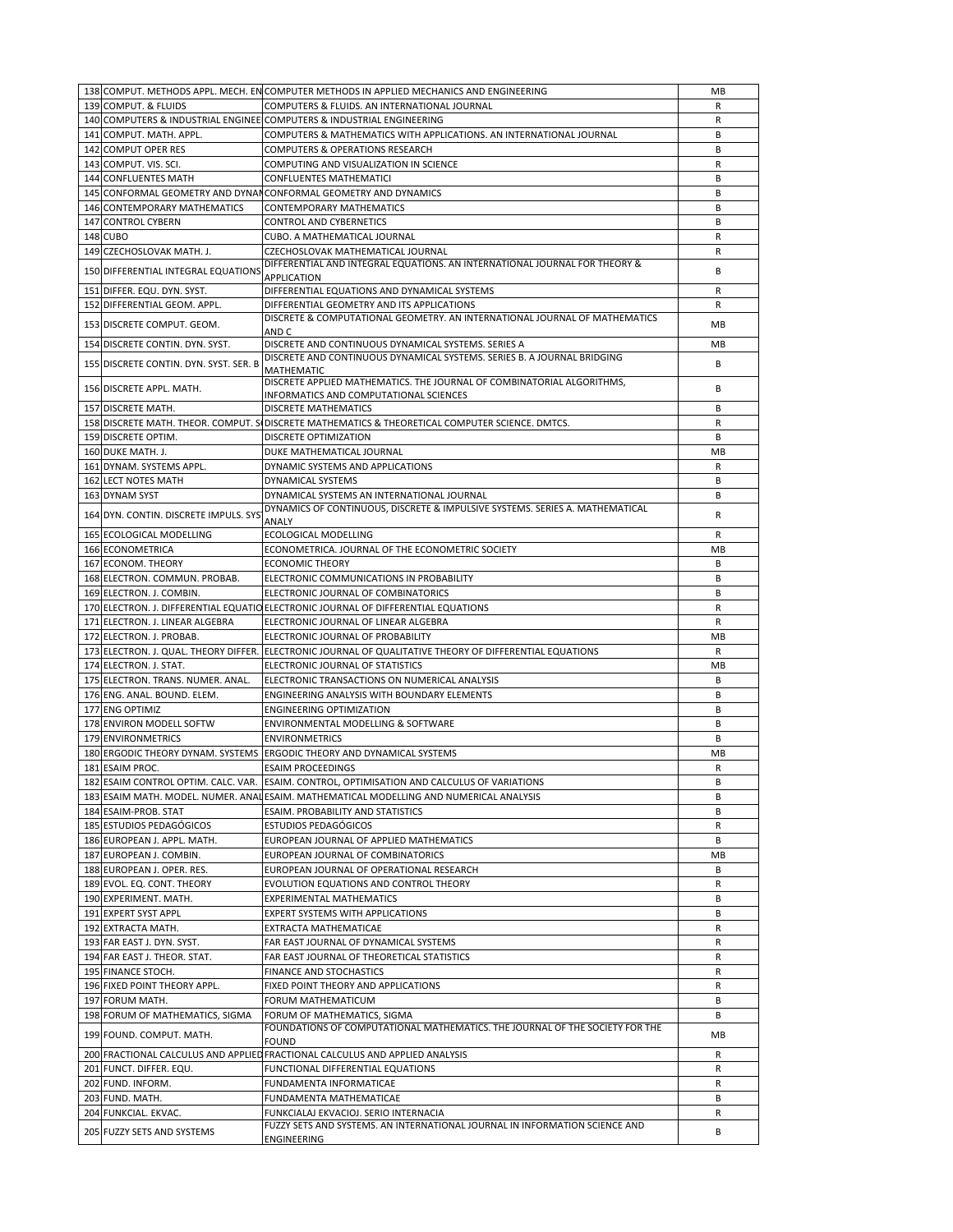|                                        | 138 COMPUT. METHODS APPL. MECH. EN COMPUTER METHODS IN APPLIED MECHANICS AND ENGINEERING                    | MB |
|----------------------------------------|-------------------------------------------------------------------------------------------------------------|----|
| 139 COMPUT. & FLUIDS                   | COMPUTERS & FLUIDS. AN INTERNATIONAL JOURNAL                                                                | R  |
|                                        | 140 COMPUTERS & INDUSTRIAL ENGINEE COMPUTERS & INDUSTRIAL ENGINEERING                                       | R  |
| 141 COMPUT. MATH. APPL.                | COMPUTERS & MATHEMATICS WITH APPLICATIONS. AN INTERNATIONAL JOURNAL                                         | В  |
| 142 COMPUT OPER RES                    | COMPUTERS & OPERATIONS RESEARCH                                                                             | B  |
| 143 COMPUT. VIS. SCI.                  | COMPUTING AND VISUALIZATION IN SCIENCE                                                                      | R  |
|                                        |                                                                                                             |    |
| 144 CONFLUENTES MATH                   | <b>CONFLUENTES MATHEMATICI</b>                                                                              | В  |
|                                        | 145 CONFORMAL GEOMETRY AND DYNANCONFORMAL GEOMETRY AND DYNAMICS                                             | B  |
| 146 CONTEMPORARY MATHEMATICS           | CONTEMPORARY MATHEMATICS                                                                                    | B  |
| 147 CONTROL CYBERN                     | CONTROL AND CYBERNETICS                                                                                     | B  |
| 148 CUBO                               | CUBO. A MATHEMATICAL JOURNAL                                                                                | R  |
| 149 CZECHOSLOVAK MATH. J.              | CZECHOSLOVAK MATHEMATICAL JOURNAL                                                                           | R  |
| 150 DIFFERENTIAL INTEGRAL EQUATIONS    | DIFFERENTIAL AND INTEGRAL EQUATIONS. AN INTERNATIONAL JOURNAL FOR THEORY &                                  | В  |
|                                        | APPLICATION                                                                                                 |    |
| 151 DIFFER. EQU. DYN. SYST.            | DIFFERENTIAL EQUATIONS AND DYNAMICAL SYSTEMS                                                                | R  |
| 152 DIFFERENTIAL GEOM. APPL.           | DIFFERENTIAL GEOMETRY AND ITS APPLICATIONS                                                                  | R  |
| 153 DISCRETE COMPUT. GEOM.             | DISCRETE & COMPUTATIONAL GEOMETRY. AN INTERNATIONAL JOURNAL OF MATHEMATICS                                  | MB |
|                                        | AND C                                                                                                       |    |
| 154 DISCRETE CONTIN. DYN. SYST.        | DISCRETE AND CONTINUOUS DYNAMICAL SYSTEMS. SERIES A                                                         | MB |
| 155 DISCRETE CONTIN. DYN. SYST. SER. B | DISCRETE AND CONTINUOUS DYNAMICAL SYSTEMS. SERIES B. A JOURNAL BRIDGING                                     | В  |
|                                        | MATHEMATIC                                                                                                  |    |
| 156 DISCRETE APPL. MATH.               | DISCRETE APPLIED MATHEMATICS. THE JOURNAL OF COMBINATORIAL ALGORITHMS,                                      | В  |
|                                        | INFORMATICS AND COMPUTATIONAL SCIENCES                                                                      |    |
| 157 DISCRETE MATH.                     | DISCRETE MATHEMATICS                                                                                        | B  |
|                                        | 158 DISCRETE MATH. THEOR. COMPUT. SIDISCRETE MATHEMATICS & THEORETICAL COMPUTER SCIENCE. DMTCS.             | R  |
| 159 DISCRETE OPTIM.                    | DISCRETE OPTIMIZATION                                                                                       | B  |
| 160 DUKE MATH. J.                      | DUKE MATHEMATICAL JOURNAL                                                                                   | MB |
| 161 DYNAM. SYSTEMS APPL.               | DYNAMIC SYSTEMS AND APPLICATIONS                                                                            | R  |
| 162 LECT NOTES MATH                    | DYNAMICAL SYSTEMS                                                                                           | B  |
| 163 DYNAM SYST                         | DYNAMICAL SYSTEMS AN INTERNATIONAL JOURNAL                                                                  | В  |
|                                        | DYNAMICS OF CONTINUOUS, DISCRETE & IMPULSIVE SYSTEMS. SERIES A. MATHEMATICAL                                |    |
| 164 DYN. CONTIN. DISCRETE IMPULS. SYS  | ANALY                                                                                                       | R  |
| 165 ECOLOGICAL MODELLING               | ECOLOGICAL MODELLING                                                                                        | R  |
| 166 ECONOMETRICA                       | ECONOMETRICA. JOURNAL OF THE ECONOMETRIC SOCIETY                                                            | MB |
|                                        |                                                                                                             |    |
| 167 ECONOM. THEORY                     | <b>ECONOMIC THEORY</b>                                                                                      | В  |
| 168 ELECTRON. COMMUN. PROBAB.          | ELECTRONIC COMMUNICATIONS IN PROBABILITY                                                                    | В  |
| 169 ELECTRON. J. COMBIN.               | ELECTRONIC JOURNAL OF COMBINATORICS                                                                         | B  |
|                                        | 170 ELECTRON. J. DIFFERENTIAL EQUATIO ELECTRONIC JOURNAL OF DIFFERENTIAL EQUATIONS                          | R  |
|                                        |                                                                                                             |    |
| 171 ELECTRON. J. LINEAR ALGEBRA        | ELECTRONIC JOURNAL OF LINEAR ALGEBRA                                                                        | R  |
| 172 ELECTRON. J. PROBAB.               | ELECTRONIC JOURNAL OF PROBABILITY                                                                           | MВ |
|                                        | 173 ELECTRON. J. QUAL. THEORY DIFFER. ELECTRONIC JOURNAL OF QUALITATIVE THEORY OF DIFFERENTIAL EQUATIONS    | R  |
|                                        |                                                                                                             | MB |
| 174 ELECTRON. J. STAT.                 | ELECTRONIC JOURNAL OF STATISTICS                                                                            | B  |
| 175 ELECTRON. TRANS. NUMER. ANAL.      | ELECTRONIC TRANSACTIONS ON NUMERICAL ANALYSIS                                                               |    |
| 176 ENG. ANAL. BOUND. ELEM.            | ENGINEERING ANALYSIS WITH BOUNDARY ELEMENTS                                                                 | В  |
| 177 ENG OPTIMIZ                        | <b>ENGINEERING OPTIMIZATION</b>                                                                             | B  |
| 178 ENVIRON MODELL SOFTW               | ENVIRONMENTAL MODELLING & SOFTWARE                                                                          | B  |
| 179 ENVIRONMETRICS                     | <b>ENVIRONMETRICS</b>                                                                                       | B  |
|                                        | 180 ERGODIC THEORY DYNAM. SYSTEMS ERGODIC THEORY AND DYNAMICAL SYSTEMS                                      | MB |
| 181 ESAIM PROC.                        | <b>ESAIM PROCEEDINGS</b>                                                                                    | R  |
|                                        | 182 ESAIM CONTROL OPTIM. CALC. VAR. ESAIM. CONTROL, OPTIMISATION AND CALCULUS OF VARIATIONS                 | B  |
|                                        | 183 ESAIM MATH. MODEL. NUMER. ANALESAIM. MATHEMATICAL MODELLING AND NUMERICAL ANALYSIS                      | В  |
| 184 ESAIM-PROB. STAT                   | ESAIM. PROBABILITY AND STATISTICS                                                                           | В  |
| 185 ESTUDIOS PEDAGÓGICOS               | <b>ESTUDIOS PEDAGÓGICOS</b>                                                                                 | R  |
| 186 EUROPEAN J. APPL. MATH.            | EUROPEAN JOURNAL OF APPLIED MATHEMATICS                                                                     | В  |
| 187 EUROPEAN J. COMBIN.                | EUROPEAN JOURNAL OF COMBINATORICS                                                                           | MВ |
|                                        |                                                                                                             | В  |
| 188 EUROPEAN J. OPER. RES.             | EUROPEAN JOURNAL OF OPERATIONAL RESEARCH                                                                    |    |
| 189 EVOL. EQ. CONT. THEORY             | EVOLUTION EQUATIONS AND CONTROL THEORY                                                                      | R  |
| 190 EXPERIMENT. MATH.                  | EXPERIMENTAL MATHEMATICS                                                                                    | B  |
| 191 EXPERT SYST APPL                   | EXPERT SYSTEMS WITH APPLICATIONS                                                                            | В  |
| 192 EXTRACTA MATH.                     | EXTRACTA MATHEMATICAE                                                                                       | R  |
| 193 FAR EAST J. DYN. SYST.             | FAR EAST JOURNAL OF DYNAMICAL SYSTEMS                                                                       | R  |
| 194 FAR EAST J. THEOR. STAT.           | FAR EAST JOURNAL OF THEORETICAL STATISTICS                                                                  | R  |
| 195 FINANCE STOCH.                     | <b>FINANCE AND STOCHASTICS</b>                                                                              | R  |
| 196 FIXED POINT THEORY APPL.           | FIXED POINT THEORY AND APPLICATIONS                                                                         | R  |
| 197 FORUM MATH.                        | FORUM MATHEMATICUM                                                                                          | В  |
|                                        |                                                                                                             | В  |
| 198 FORUM OF MATHEMATICS, SIGMA        | FORUM OF MATHEMATICS, SIGMA<br>FOUNDATIONS OF COMPUTATIONAL MATHEMATICS. THE JOURNAL OF THE SOCIETY FOR THE |    |
| 199 FOUND. COMPUT. MATH.               | FOUND                                                                                                       | МB |
|                                        | 200 FRACTIONAL CALCULUS AND APPLIED FRACTIONAL CALCULUS AND APPLIED ANALYSIS                                | R  |
|                                        |                                                                                                             |    |
| 201 FUNCT. DIFFER. EQU.                | FUNCTIONAL DIFFERENTIAL EQUATIONS                                                                           | R  |
| 202 FUND. INFORM.                      | FUNDAMENTA INFORMATICAE                                                                                     | R  |
| 203 FUND. MATH.                        | FUNDAMENTA MATHEMATICAE                                                                                     | В  |
| 204 FUNKCIAL. EKVAC.                   | FUNKCIALAJ EKVACIOJ. SERIO INTERNACIA                                                                       | R  |
| 205 FUZZY SETS AND SYSTEMS             | FUZZY SETS AND SYSTEMS. AN INTERNATIONAL JOURNAL IN INFORMATION SCIENCE AND<br>ENGINEERING                  | В  |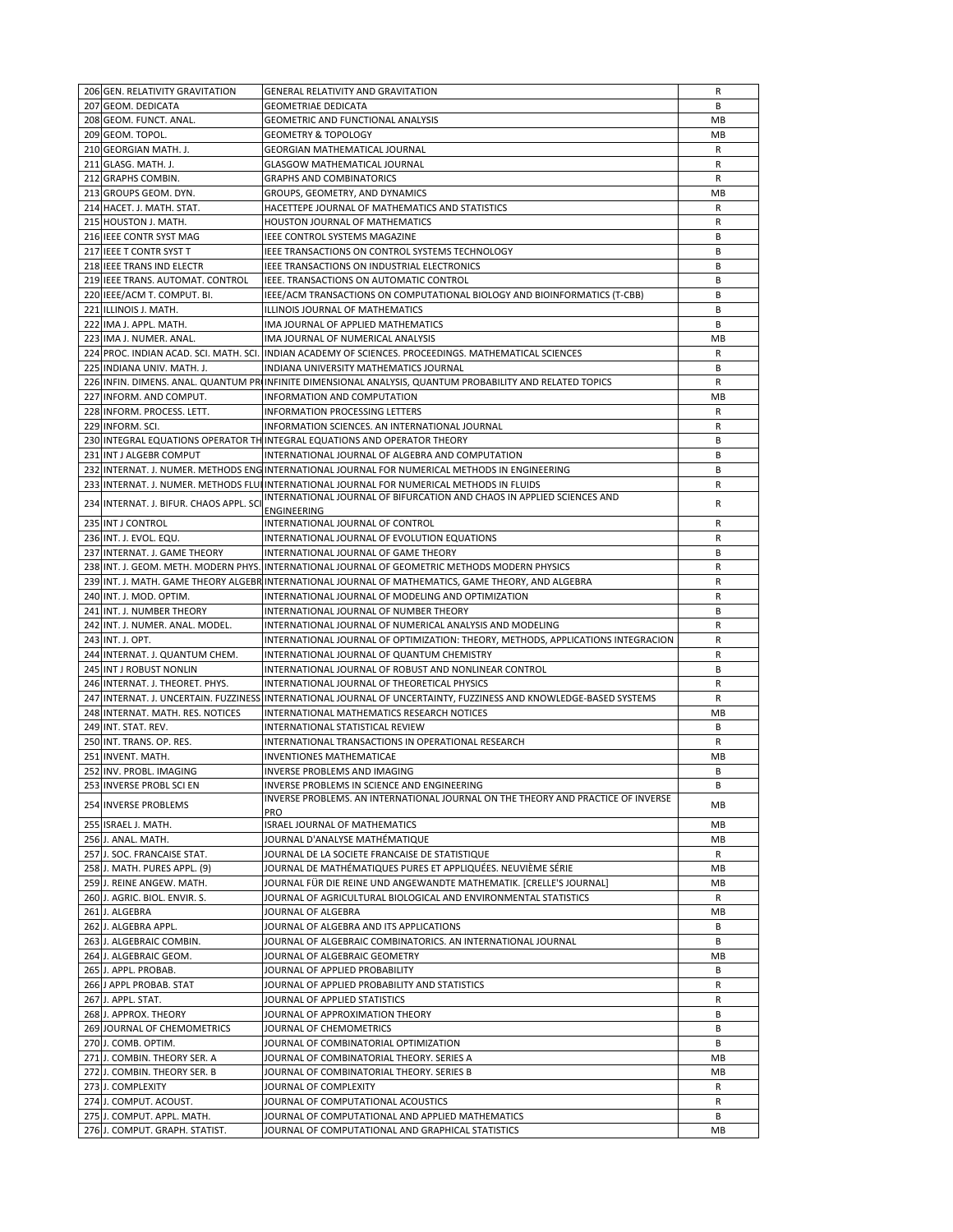| 206 GEN. RELATIVITY GRAVITATION                              | GENERAL RELATIVITY AND GRAVITATION                                                                                | R            |
|--------------------------------------------------------------|-------------------------------------------------------------------------------------------------------------------|--------------|
|                                                              |                                                                                                                   |              |
| 207 GEOM. DEDICATA                                           | <b>GEOMETRIAE DEDICATA</b>                                                                                        | B            |
| 208 GEOM. FUNCT. ANAL.                                       | GEOMETRIC AND FUNCTIONAL ANALYSIS                                                                                 | MB           |
| 209 GEOM. TOPOL.                                             | <b>GEOMETRY &amp; TOPOLOGY</b>                                                                                    | МB           |
| 210 GEORGIAN MATH. J.                                        | GEORGIAN MATHEMATICAL JOURNAL                                                                                     | R            |
|                                                              | <b>GLASGOW MATHEMATICAL JOURNAL</b>                                                                               |              |
| 211 GLASG. MATH. J.                                          |                                                                                                                   | R            |
| 212 GRAPHS COMBIN.                                           | <b>GRAPHS AND COMBINATORICS</b>                                                                                   | R            |
| 213 GROUPS GEOM. DYN.                                        | GROUPS, GEOMETRY, AND DYNAMICS                                                                                    | MB           |
| 214 HACET. J. MATH. STAT.                                    | HACETTEPE JOURNAL OF MATHEMATICS AND STATISTICS                                                                   | R            |
|                                                              |                                                                                                                   |              |
| 215 HOUSTON J. MATH.                                         | HOUSTON JOURNAL OF MATHEMATICS                                                                                    | R            |
| 216 IEEE CONTR SYST MAG                                      | IEEE CONTROL SYSTEMS MAGAZINE                                                                                     | В            |
| 217 JEEE T CONTR SYST T                                      | IEEE TRANSACTIONS ON CONTROL SYSTEMS TECHNOLOGY                                                                   | В            |
| 218 IEEE TRANS IND ELECTR                                    | IEEE TRANSACTIONS ON INDUSTRIAL ELECTRONICS                                                                       | В            |
|                                                              |                                                                                                                   |              |
| 219 IEEE TRANS. AUTOMAT. CONTROL                             | IEEE. TRANSACTIONS ON AUTOMATIC CONTROL                                                                           | В            |
| 220 IEEE/ACM T. COMPUT. BI.                                  | IEEE/ACM TRANSACTIONS ON COMPUTATIONAL BIOLOGY AND BIOINFORMATICS (T-CBB)                                         | В            |
| 221 ILLINOIS J. MATH.                                        | ILLINOIS JOURNAL OF MATHEMATICS                                                                                   | В            |
| 222 IMA J. APPL. MATH.                                       | IMA JOURNAL OF APPLIED MATHEMATICS                                                                                | B            |
|                                                              |                                                                                                                   |              |
| 223 IMA J. NUMER. ANAL.                                      | IMA JOURNAL OF NUMERICAL ANALYSIS                                                                                 | MB           |
|                                                              | 224 PROC. INDIAN ACAD. SCI. MATH. SCI. INDIAN ACADEMY OF SCIENCES. PROCEEDINGS. MATHEMATICAL SCIENCES             | R            |
| 225 INDIANA UNIV. MATH. J.                                   | INDIANA UNIVERSITY MATHEMATICS JOURNAL                                                                            | В            |
|                                                              |                                                                                                                   |              |
|                                                              | 226 INFIN. DIMENS. ANAL. QUANTUM PRIINFINITE DIMENSIONAL ANALYSIS, QUANTUM PROBABILITY AND RELATED TOPICS         | R            |
| 227 INFORM. AND COMPUT.                                      | INFORMATION AND COMPUTATION                                                                                       | MB           |
| 228 INFORM. PROCESS. LETT.                                   | <b>INFORMATION PROCESSING LETTERS</b>                                                                             | R            |
| 229 INFORM. SCI.                                             | INFORMATION SCIENCES. AN INTERNATIONAL JOURNAL                                                                    | R            |
|                                                              |                                                                                                                   |              |
|                                                              | 230 INTEGRAL EQUATIONS OPERATOR THINTEGRAL EQUATIONS AND OPERATOR THEORY                                          | В            |
| 231 INT J ALGEBR COMPUT                                      | INTERNATIONAL JOURNAL OF ALGEBRA AND COMPUTATION                                                                  | B            |
|                                                              | 232 INTERNAT. J. NUMER. METHODS ENGINTERNATIONAL JOURNAL FOR NUMERICAL METHODS IN ENGINEERING                     | В            |
|                                                              |                                                                                                                   | R            |
|                                                              | 233 INTERNAT. J. NUMER. METHODS FLUI INTERNATIONAL JOURNAL FOR NUMERICAL METHODS IN FLUIDS                        |              |
| 234 INTERNAT. J. BIFUR. CHAOS APPL. SCI                      | INTERNATIONAL JOURNAL OF BIFURCATION AND CHAOS IN APPLIED SCIENCES AND                                            | R            |
|                                                              | ENGINEERING                                                                                                       |              |
| 235 INT J CONTROL                                            | INTERNATIONAL JOURNAL OF CONTROL                                                                                  | R            |
| 236 INT. J. EVOL. EQU.                                       | INTERNATIONAL JOURNAL OF EVOLUTION EQUATIONS                                                                      | R            |
|                                                              |                                                                                                                   |              |
| 237 INTERNAT. J. GAME THEORY                                 | INTERNATIONAL JOURNAL OF GAME THEORY                                                                              | В            |
|                                                              | 238 INT. J. GEOM. METH. MODERN PHYS. INTERNATIONAL JOURNAL OF GEOMETRIC METHODS MODERN PHYSICS                    | R            |
|                                                              | 239 INT. J. MATH. GAME THEORY ALGEBRINTERNATIONAL JOURNAL OF MATHEMATICS, GAME THEORY, AND ALGEBRA                | R            |
| 240 INT. J. MOD. OPTIM.                                      | INTERNATIONAL JOURNAL OF MODELING AND OPTIMIZATION                                                                | R            |
|                                                              |                                                                                                                   |              |
| 241 INT. J. NUMBER THEORY                                    | INTERNATIONAL JOURNAL OF NUMBER THEORY                                                                            | В            |
| 242 INT. J. NUMER. ANAL. MODEL.                              | INTERNATIONAL JOURNAL OF NUMERICAL ANALYSIS AND MODELING                                                          | R            |
| 243 INT. J. OPT.                                             | INTERNATIONAL JOURNAL OF OPTIMIZATION: THEORY, METHODS, APPLICATIONS INTEGRACION                                  | R            |
| 244 INTERNAT. J. QUANTUM CHEM.                               | INTERNATIONAL JOURNAL OF QUANTUM CHEMISTRY                                                                        | R            |
|                                                              |                                                                                                                   |              |
| 245 INT J ROBUST NONLIN                                      | INTERNATIONAL JOURNAL OF ROBUST AND NONLINEAR CONTROL                                                             | В            |
| 246 INTERNAT. J. THEORET. PHYS.                              | INTERNATIONAL JOURNAL OF THEORETICAL PHYSICS                                                                      | $\mathsf{R}$ |
|                                                              | 247 INTERNAT. J. UNCERTAIN. FUZZINESS INTERNATIONAL JOURNAL OF UNCERTAINTY, FUZZINESS AND KNOWLEDGE-BASED SYSTEMS | R            |
|                                                              | INTERNATIONAL MATHEMATICS RESEARCH NOTICES                                                                        |              |
| 248 INTERNAT. MATH. RES. NOTICES                             |                                                                                                                   |              |
|                                                              |                                                                                                                   | MB           |
| 249 INT. STAT. REV.                                          | INTERNATIONAL STATISTICAL REVIEW                                                                                  | В            |
| 250 INT. TRANS. OP. RES.                                     | INTERNATIONAL TRANSACTIONS IN OPERATIONAL RESEARCH                                                                | $\mathsf{R}$ |
|                                                              |                                                                                                                   |              |
| 251 INVENT. MATH.                                            | INVENTIONES MATHEMATICAE                                                                                          | MB           |
| 252 INV. PROBL. IMAGING                                      | INVERSE PROBLEMS AND IMAGING                                                                                      | B            |
| 253 INVERSE PROBL SCI EN                                     | INVERSE PROBLEMS IN SCIENCE AND ENGINEERING                                                                       | в            |
|                                                              | INVERSE PROBLEMS. AN INTERNATIONAL JOURNAL ON THE THEORY AND PRACTICE OF INVERSE                                  |              |
| <b>254 INVERSE PROBLEMS</b>                                  | PRO                                                                                                               | MВ           |
|                                                              |                                                                                                                   |              |
| 255 ISRAEL J. MATH.                                          | ISRAEL JOURNAL OF MATHEMATICS                                                                                     | MB           |
| 256 J. ANAL. MATH.                                           | JOURNAL D'ANALYSE MATHÉMATIQUE                                                                                    | MВ           |
| 257 J. SOC. FRANCAISE STAT.                                  | JOURNAL DE LA SOCIETE FRANCAISE DE STATISTIQUE                                                                    | R            |
| 258 J. MATH. PURES APPL. (9)                                 | JOURNAL DE MATHÉMATIQUES PURES ET APPLIQUÉES. NEUVIÈME SÉRIE                                                      | MВ           |
|                                                              |                                                                                                                   |              |
| 259 J. REINE ANGEW. MATH.                                    | JOURNAL FÜR DIE REINE UND ANGEWANDTE MATHEMATIK. [CRELLE'S JOURNAL]                                               | MB           |
| 260 J. AGRIC. BIOL. ENVIR. S.                                | JOURNAL OF AGRICULTURAL BIOLOGICAL AND ENVIRONMENTAL STATISTICS                                                   | R            |
| 261 J. ALGEBRA                                               | JOURNAL OF ALGEBRA                                                                                                | MB           |
| 262 J. ALGEBRA APPL.                                         | JOURNAL OF ALGEBRA AND ITS APPLICATIONS                                                                           | B            |
|                                                              |                                                                                                                   |              |
| 263 J. ALGEBRAIC COMBIN.                                     | JOURNAL OF ALGEBRAIC COMBINATORICS. AN INTERNATIONAL JOURNAL                                                      | В            |
| 264 J. ALGEBRAIC GEOM.                                       | JOURNAL OF ALGEBRAIC GEOMETRY                                                                                     | MB           |
| 265 J. APPL. PROBAB.                                         | JOURNAL OF APPLIED PROBABILITY                                                                                    | В            |
| 266 J APPL PROBAB. STAT                                      | JOURNAL OF APPLIED PROBABILITY AND STATISTICS                                                                     | R            |
|                                                              |                                                                                                                   |              |
| 267 J. APPL. STAT.                                           | JOURNAL OF APPLIED STATISTICS                                                                                     | R            |
| 268 J. APPROX. THEORY                                        | JOURNAL OF APPROXIMATION THEORY                                                                                   | В            |
| 269 JOURNAL OF CHEMOMETRICS                                  | JOURNAL OF CHEMOMETRICS                                                                                           | В            |
|                                                              |                                                                                                                   | B            |
| 270 J. COMB. OPTIM.                                          | JOURNAL OF COMBINATORIAL OPTIMIZATION                                                                             |              |
| 271 J. COMBIN. THEORY SER. A                                 | JOURNAL OF COMBINATORIAL THEORY. SERIES A                                                                         | MВ           |
| 272 J. COMBIN. THEORY SER. B                                 | JOURNAL OF COMBINATORIAL THEORY. SERIES B                                                                         | MB           |
| 273 J. COMPLEXITY                                            | JOURNAL OF COMPLEXITY                                                                                             | R            |
|                                                              |                                                                                                                   |              |
| 274 J. COMPUT. ACOUST.                                       | JOURNAL OF COMPUTATIONAL ACOUSTICS                                                                                | R            |
| 275 J. COMPUT. APPL. MATH.<br>276 J. COMPUT. GRAPH. STATIST. | JOURNAL OF COMPUTATIONAL AND APPLIED MATHEMATICS<br>JOURNAL OF COMPUTATIONAL AND GRAPHICAL STATISTICS             | В<br>MB      |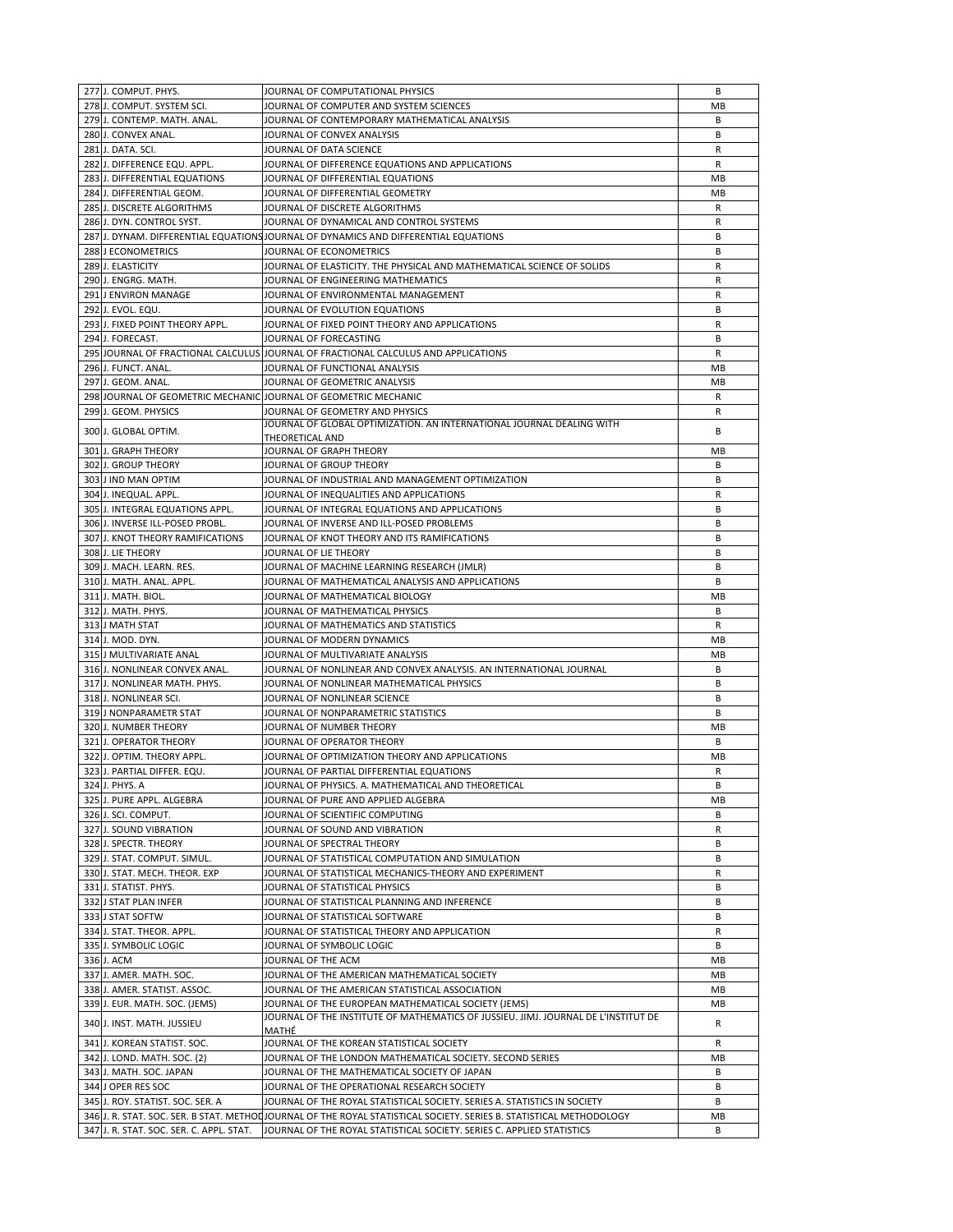| 277 J. COMPUT. PHYS.                     | JOURNAL OF COMPUTATIONAL PHYSICS                                                                                    | В         |
|------------------------------------------|---------------------------------------------------------------------------------------------------------------------|-----------|
| 278 J. COMPUT. SYSTEM SCI.               | JOURNAL OF COMPUTER AND SYSTEM SCIENCES                                                                             | MВ        |
| 279 J. CONTEMP. MATH. ANAL.              | JOURNAL OF CONTEMPORARY MATHEMATICAL ANALYSIS                                                                       | В         |
|                                          |                                                                                                                     |           |
| 280 J. CONVEX ANAL.                      | JOURNAL OF CONVEX ANALYSIS                                                                                          | B         |
| 281 J. DATA. SCI.                        | JOURNAL OF DATA SCIENCE                                                                                             | R         |
| 282 J. DIFFERENCE EQU. APPL.             | JOURNAL OF DIFFERENCE EQUATIONS AND APPLICATIONS                                                                    | R         |
| 283 J. DIFFERENTIAL EQUATIONS            | JOURNAL OF DIFFERENTIAL EQUATIONS                                                                                   | MB        |
| 284 J. DIFFERENTIAL GEOM.                | JOURNAL OF DIFFERENTIAL GEOMETRY                                                                                    | MB        |
| 285 J. DISCRETE ALGORITHMS               | JOURNAL OF DISCRETE ALGORITHMS                                                                                      | R         |
| 286 J. DYN. CONTROL SYST.                | JOURNAL OF DYNAMICAL AND CONTROL SYSTEMS                                                                            | R         |
|                                          | 287 J. DYNAM. DIFFERENTIAL EQUATIONS JOURNAL OF DYNAMICS AND DIFFERENTIAL EQUATIONS                                 | В         |
| 288 J ECONOMETRICS                       | JOURNAL OF ECONOMETRICS                                                                                             | B         |
| 289 J. ELASTICITY                        | JOURNAL OF ELASTICITY. THE PHYSICAL AND MATHEMATICAL SCIENCE OF SOLIDS                                              | R         |
|                                          |                                                                                                                     |           |
| 290 J. ENGRG. MATH.                      | JOURNAL OF ENGINEERING MATHEMATICS                                                                                  | R         |
| 291 J ENVIRON MANAGE                     | JOURNAL OF ENVIRONMENTAL MANAGEMENT                                                                                 | R         |
| 292 J. EVOL. EQU.                        | JOURNAL OF EVOLUTION EQUATIONS                                                                                      | В         |
| 293 J. FIXED POINT THEORY APPL.          | JOURNAL OF FIXED POINT THEORY AND APPLICATIONS                                                                      | R         |
| 294 J. FORECAST.                         | JOURNAL OF FORECASTING                                                                                              | В         |
|                                          | 295 JOURNAL OF FRACTIONAL CALCULUS JOURNAL OF FRACTIONAL CALCULUS AND APPLICATIONS                                  | R         |
| 296 J. FUNCT. ANAL.                      | JOURNAL OF FUNCTIONAL ANALYSIS                                                                                      | МB        |
| 297 J. GEOM. ANAL.                       | JOURNAL OF GEOMETRIC ANALYSIS                                                                                       | MB        |
|                                          | 298 JOURNAL OF GEOMETRIC MECHANIC JOURNAL OF GEOMETRIC MECHANIC                                                     | R         |
| 299 J. GEOM. PHYSICS                     | JOURNAL OF GEOMETRY AND PHYSICS                                                                                     | R         |
|                                          | JOURNAL OF GLOBAL OPTIMIZATION. AN INTERNATIONAL JOURNAL DEALING WITH                                               |           |
| 300 J. GLOBAL OPTIM.                     | THEORETICAL AND                                                                                                     | B         |
| 301 J. GRAPH THEORY                      | JOURNAL OF GRAPH THEORY                                                                                             | МB        |
| 302 J. GROUP THEORY                      |                                                                                                                     |           |
|                                          | JOURNAL OF GROUP THEORY                                                                                             | В         |
| 303 J IND MAN OPTIM                      | JOURNAL OF INDUSTRIAL AND MANAGEMENT OPTIMIZATION                                                                   | В         |
| 304 J. INEQUAL. APPL.                    | JOURNAL OF INEQUALITIES AND APPLICATIONS                                                                            | R         |
| 305 J. INTEGRAL EQUATIONS APPL.          | JOURNAL OF INTEGRAL EQUATIONS AND APPLICATIONS                                                                      | В         |
| 306 J. INVERSE ILL-POSED PROBL.          | JOURNAL OF INVERSE AND ILL-POSED PROBLEMS                                                                           | B         |
| 307 J. KNOT THEORY RAMIFICATIONS         | JOURNAL OF KNOT THEORY AND ITS RAMIFICATIONS                                                                        | B         |
| 308 J. LIE THEORY                        | JOURNAL OF LIE THEORY                                                                                               | B         |
| 309 J. MACH. LEARN. RES.                 | JOURNAL OF MACHINE LEARNING RESEARCH (JMLR)                                                                         | B         |
| 310 J. MATH. ANAL. APPL.                 | JOURNAL OF MATHEMATICAL ANALYSIS AND APPLICATIONS                                                                   | В         |
| 311 J. MATH. BIOL.                       | JOURNAL OF MATHEMATICAL BIOLOGY                                                                                     | MВ        |
| 312 J. MATH. PHYS.                       | JOURNAL OF MATHEMATICAL PHYSICS                                                                                     | B         |
| 313 J MATH STAT                          | JOURNAL OF MATHEMATICS AND STATISTICS                                                                               | R         |
| 314 J. MOD. DYN.                         | JOURNAL OF MODERN DYNAMICS                                                                                          | MB        |
| 315 J MULTIVARIATE ANAL                  | JOURNAL OF MULTIVARIATE ANALYSIS                                                                                    | MB        |
| 316 J. NONLINEAR CONVEX ANAL.            | JOURNAL OF NONLINEAR AND CONVEX ANALYSIS. AN INTERNATIONAL JOURNAL                                                  | B         |
| 317 J. NONLINEAR MATH. PHYS.             | JOURNAL OF NONLINEAR MATHEMATICAL PHYSICS                                                                           | B         |
| 318 J. NONLINEAR SCI.                    | JOURNAL OF NONLINEAR SCIENCE                                                                                        | B         |
|                                          |                                                                                                                     |           |
| 319 J NONPARAMETR STAT                   | JOURNAL OF NONPARAMETRIC STATISTICS                                                                                 | В         |
| 320 J. NUMBER THEORY                     | JOURNAL OF NUMBER THEORY                                                                                            | МB        |
| 321 J. OPERATOR THEORY                   | JOURNAL OF OPERATOR THEORY                                                                                          | B         |
| 322 J. OPTIM. THEORY APPL.               | JOURNAL OF OPTIMIZATION THEORY AND APPLICATIONS                                                                     | МB        |
| 323 J. PARTIAL DIFFER. EQU.              | JOURNAL OF PARTIAL DIFFERENTIAL EQUATIONS                                                                           | R         |
| 324 J. PHYS. A                           | JOURNAL OF PHYSICS. A. MATHEMATICAL AND THEORETICAL                                                                 | B         |
| 325 J. PURE APPL. ALGEBRA                | JOURNAL OF PURE AND APPLIED ALGEBRA                                                                                 | MB        |
| 326 J. SCI. COMPUT.                      | JOURNAL OF SCIENTIFIC COMPUTING                                                                                     | B         |
| 327 J. SOUND VIBRATION                   | JOURNAL OF SOUND AND VIBRATION                                                                                      | R         |
| 328 J. SPECTR. THEORY                    | JOURNAL OF SPECTRAL THEORY                                                                                          | В         |
| 329 J. STAT. COMPUT. SIMUL.              | JOURNAL OF STATISTICAL COMPUTATION AND SIMULATION                                                                   | В         |
| 330 J. STAT. MECH. THEOR. EXP            | JOURNAL OF STATISTICAL MECHANICS-THEORY AND EXPERIMENT                                                              | R         |
| 331 J. STATIST. PHYS.                    | JOURNAL OF STATISTICAL PHYSICS                                                                                      | В         |
|                                          |                                                                                                                     |           |
| 332 J STAT PLAN INFER                    | JOURNAL OF STATISTICAL PLANNING AND INFERENCE                                                                       | В         |
| 333 J STAT SOFTW                         | JOURNAL OF STATISTICAL SOFTWARE                                                                                     | B         |
| 334 J. STAT. THEOR. APPL.                | JOURNAL OF STATISTICAL THEORY AND APPLICATION                                                                       | R         |
| 335 J. SYMBOLIC LOGIC                    | JOURNAL OF SYMBOLIC LOGIC                                                                                           | B         |
| 336 J. ACM                               | JOURNAL OF THE ACM                                                                                                  | MВ        |
| 337 J. AMER. MATH. SOC.                  | JOURNAL OF THE AMERICAN MATHEMATICAL SOCIETY                                                                        | MВ        |
| 338 J. AMER. STATIST. ASSOC.             | JOURNAL OF THE AMERICAN STATISTICAL ASSOCIATION                                                                     | MВ        |
| 339 J. EUR. MATH. SOC. (JEMS)            | JOURNAL OF THE EUROPEAN MATHEMATICAL SOCIETY (JEMS)                                                                 | <b>MB</b> |
| 340 J. INST. MATH. JUSSIEU               | JOURNAL OF THE INSTITUTE OF MATHEMATICS OF JUSSIEU. JIMJ. JOURNAL DE L'INSTITUT DE                                  | R         |
|                                          | MATHÉ                                                                                                               |           |
| 341 J. KOREAN STATIST. SOC.              | JOURNAL OF THE KOREAN STATISTICAL SOCIETY                                                                           | R         |
| 342 J. LOND. MATH. SOC. (2)              | JOURNAL OF THE LONDON MATHEMATICAL SOCIETY. SECOND SERIES                                                           | MB        |
| 343 J. MATH. SOC. JAPAN                  | JOURNAL OF THE MATHEMATICAL SOCIETY OF JAPAN                                                                        | В         |
| 344 J OPER RES SOC                       | JOURNAL OF THE OPERATIONAL RESEARCH SOCIETY                                                                         | B         |
| 345 J. ROY. STATIST. SOC. SER. A         | JOURNAL OF THE ROYAL STATISTICAL SOCIETY. SERIES A. STATISTICS IN SOCIETY                                           | В         |
|                                          | 346 J. R. STAT. SOC. SER. B STAT. METHOLJOURNAL OF THE ROYAL STATISTICAL SOCIETY. SERIES B. STATISTICAL METHODOLOGY | MB        |
| 347 J. R. STAT. SOC. SER. C. APPL. STAT. | JOURNAL OF THE ROYAL STATISTICAL SOCIETY. SERIES C. APPLIED STATISTICS                                              | B         |
|                                          |                                                                                                                     |           |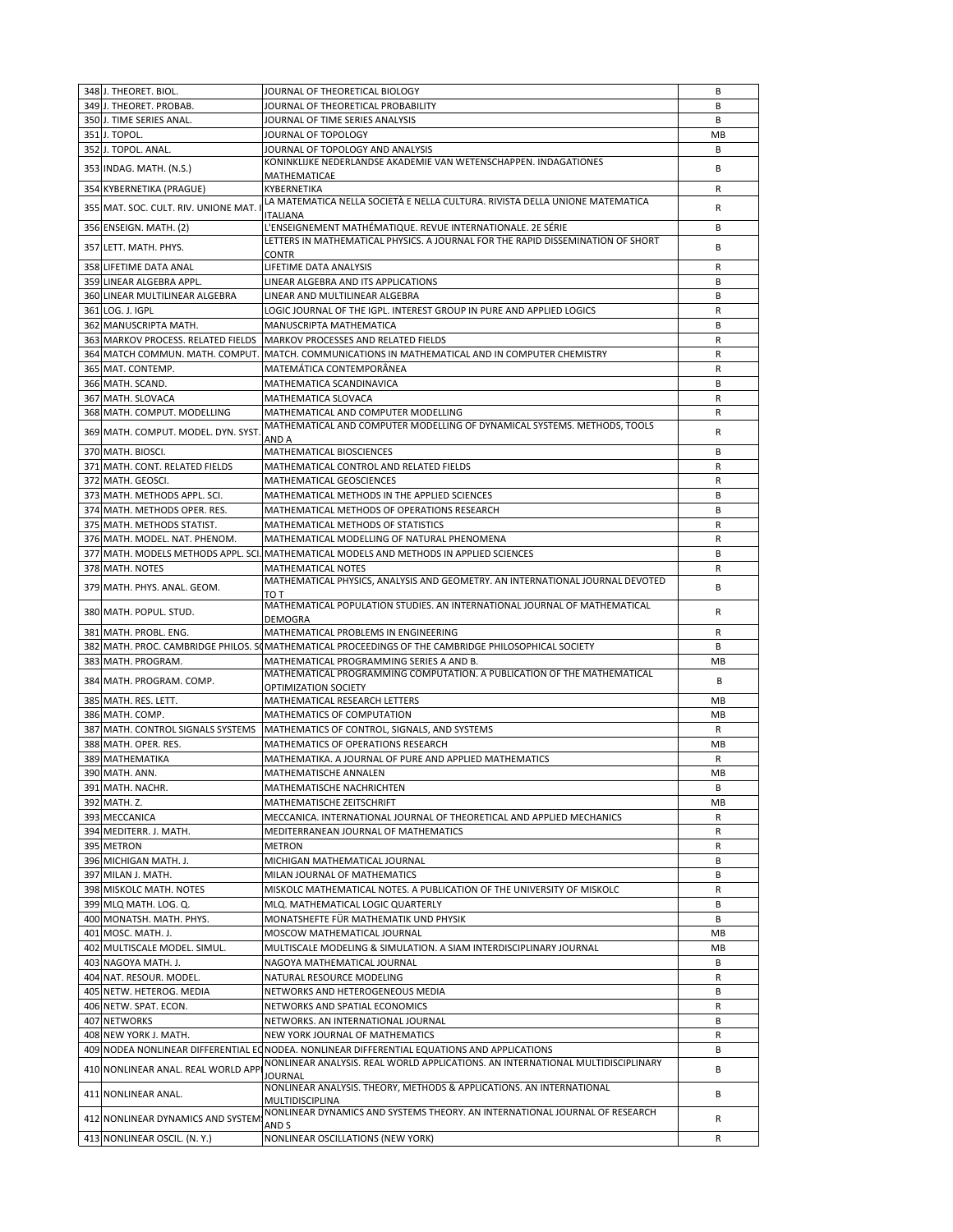| 348 J. THEORET. BIOL.                | JOURNAL OF THEORETICAL BIOLOGY                                                                      | В         |
|--------------------------------------|-----------------------------------------------------------------------------------------------------|-----------|
| 349 J. THEORET. PROBAB.              | JOURNAL OF THEORETICAL PROBABILITY                                                                  | B         |
| 350 J. TIME SERIES ANAL.             | JOURNAL OF TIME SERIES ANALYSIS                                                                     | В         |
|                                      |                                                                                                     |           |
| 351 J. TOPOL.                        | JOURNAL OF TOPOLOGY                                                                                 | MB        |
| 352 J. TOPOL. ANAL.                  | JOURNAL OF TOPOLOGY AND ANALYSIS                                                                    | В         |
|                                      | KONINKLIJKE NEDERLANDSE AKADEMIE VAN WETENSCHAPPEN. INDAGATIONES                                    |           |
| 353 INDAG. MATH. (N.S.)              |                                                                                                     | B         |
|                                      | MATHEMATICAE                                                                                        |           |
| 354 KYBERNETIKA (PRAGUE)             | KYBERNETIKA                                                                                         | R         |
|                                      | LA MATEMATICA NELLA SOCIETÀ E NELLA CULTURA. RIVISTA DELLA UNIONE MATEMATICA                        |           |
| 355 MAT. SOC. CULT. RIV. UNIONE MAT. | ITALIANA                                                                                            | R         |
| 356 ENSEIGN. MATH. (2)               | L'ENSEIGNEMENT MATHÉMATIQUE. REVUE INTERNATIONALE. 2E SÉRIE                                         | В         |
|                                      |                                                                                                     |           |
| 357 LETT. MATH. PHYS.                | LETTERS IN MATHEMATICAL PHYSICS. A JOURNAL FOR THE RAPID DISSEMINATION OF SHORT                     | B         |
|                                      | <b>CONTR</b>                                                                                        |           |
| 358 LIFETIME DATA ANAL               | LIFETIME DATA ANALYSIS                                                                              | R         |
|                                      |                                                                                                     |           |
| 359 LINEAR ALGEBRA APPL.             | LINEAR ALGEBRA AND ITS APPLICATIONS                                                                 | В         |
| 360 LINEAR MULTILINEAR ALGEBRA       | LINEAR AND MULTILINEAR ALGEBRA                                                                      | В         |
| 361 LOG. J. IGPL                     | LOGIC JOURNAL OF THE IGPL. INTEREST GROUP IN PURE AND APPLIED LOGICS                                | R         |
|                                      |                                                                                                     |           |
| 362 MANUSCRIPTA MATH.                | MANUSCRIPTA MATHEMATICA                                                                             | B         |
|                                      | 363 MARKOV PROCESS. RELATED FIELDS   MARKOV PROCESSES AND RELATED FIELDS                            | R         |
|                                      |                                                                                                     |           |
|                                      | 364 MATCH COMMUN. MATH. COMPUT. MATCH. COMMUNICATIONS IN MATHEMATICAL AND IN COMPUTER CHEMISTRY     | R         |
| 365 MAT. CONTEMP.                    | MATEMÁTICA CONTEMPORÂNEA                                                                            | R         |
| 366 MATH. SCAND.                     | MATHEMATICA SCANDINAVICA                                                                            | B         |
|                                      |                                                                                                     |           |
| 367 MATH. SLOVACA                    | MATHEMATICA SLOVACA                                                                                 | R         |
| 368 MATH. COMPUT. MODELLING          | MATHEMATICAL AND COMPUTER MODELLING                                                                 | R         |
|                                      | MATHEMATICAL AND COMPUTER MODELLING OF DYNAMICAL SYSTEMS. METHODS, TOOLS                            |           |
| 369 MATH. COMPUT. MODEL. DYN. SYST   |                                                                                                     | R         |
|                                      | AND A                                                                                               |           |
| 370 MATH. BIOSCI.                    | MATHEMATICAL BIOSCIENCES                                                                            | В         |
| 371 MATH. CONT. RELATED FIELDS       | MATHEMATICAL CONTROL AND RELATED FIELDS                                                             | R         |
|                                      |                                                                                                     |           |
| 372 MATH. GEOSCI.                    | MATHEMATICAL GEOSCIENCES                                                                            | R         |
| 373 MATH. METHODS APPL. SCI.         | MATHEMATICAL METHODS IN THE APPLIED SCIENCES                                                        | B         |
|                                      |                                                                                                     |           |
| 374 MATH. METHODS OPER. RES.         | MATHEMATICAL METHODS OF OPERATIONS RESEARCH                                                         | В         |
| 375 MATH. METHODS STATIST.           | MATHEMATICAL METHODS OF STATISTICS                                                                  | R         |
| 376 MATH. MODEL. NAT. PHENOM.        | MATHEMATICAL MODELLING OF NATURAL PHENOMENA                                                         | R         |
|                                      |                                                                                                     |           |
|                                      | 377 MATH. MODELS METHODS APPL. SCI. MATHEMATICAL MODELS AND METHODS IN APPLIED SCIENCES             | B         |
| 378 MATH. NOTES                      | <b>MATHEMATICAL NOTES</b>                                                                           | R         |
|                                      | MATHEMATICAL PHYSICS, ANALYSIS AND GEOMETRY. AN INTERNATIONAL JOURNAL DEVOTED                       |           |
| 379 MATH. PHYS. ANAL. GEOM.          |                                                                                                     | В         |
|                                      | TO T<br>MATHEMATICAL POPULATION STUDIES. AN INTERNATIONAL JOURNAL OF MATHEMATICAL                   |           |
| 380 MATH. POPUL. STUD.               |                                                                                                     | R         |
|                                      | <b>DEMOGRA</b>                                                                                      |           |
| 381 MATH. PROBL. ENG.                | MATHEMATICAL PROBLEMS IN ENGINEERING                                                                | R         |
|                                      |                                                                                                     | B         |
|                                      | 382 MATH. PROC. CAMBRIDGE PHILOS. SOMATHEMATICAL PROCEEDINGS OF THE CAMBRIDGE PHILOSOPHICAL SOCIETY |           |
| 383 MATH. PROGRAM.                   | MATHEMATICAL PROGRAMMING SERIES A AND B.                                                            | MB        |
|                                      | MATHEMATICAL PROGRAMMING COMPUTATION. A PUBLICATION OF THE MATHEMATICAL                             |           |
| 384 MATH. PROGRAM. COMP.             | OPTIMIZATION SOCIETY                                                                                | B         |
|                                      |                                                                                                     |           |
| 385 MATH. RES. LETT.                 | MATHEMATICAL RESEARCH LETTERS                                                                       | MВ        |
| 386 MATH, COMP.                      | MATHEMATICS OF COMPUTATION                                                                          | <b>MB</b> |
|                                      | MATHEMATICS OF CONTROL, SIGNALS, AND SYSTEMS                                                        |           |
| 387 MATH. CONTROL SIGNALS SYSTEMS    |                                                                                                     | R         |
| 388 MATH. OPER. RES.                 | MATHEMATICS OF OPERATIONS RESEARCH                                                                  | МB        |
| 389 MATHEMATIKA                      | MATHEMATIKA. A JOURNAL OF PURE AND APPLIED MATHEMATICS                                              | R         |
|                                      |                                                                                                     |           |
| 390 MATH. ANN.                       | <b>MATHEMATISCHE ANNALEN</b>                                                                        | <b>MB</b> |
| 391 MATH. NACHR.                     | MATHEMATISCHE NACHRICHTEN                                                                           | В         |
| 392 MATH. Z.                         | MATHEMATISCHE ZEITSCHRIFT                                                                           | MB        |
|                                      |                                                                                                     |           |
| 393 MECCANICA                        | MECCANICA. INTERNATIONAL JOURNAL OF THEORETICAL AND APPLIED MECHANICS                               | R         |
| 394 MEDITERR. J. MATH.               | MEDITERRANEAN JOURNAL OF MATHEMATICS                                                                | R         |
|                                      | <b>METRON</b>                                                                                       |           |
| 395 METRON                           |                                                                                                     | R         |
| 396 MICHIGAN MATH. J.                | MICHIGAN MATHEMATICAL JOURNAL                                                                       | В         |
| 397 MILAN J. MATH.                   | MILAN JOURNAL OF MATHEMATICS                                                                        | В         |
|                                      |                                                                                                     |           |
| 398 MISKOLC MATH. NOTES              | MISKOLC MATHEMATICAL NOTES. A PUBLICATION OF THE UNIVERSITY OF MISKOLC                              | R         |
| 399 MLQ MATH. LOG. Q.                | MLQ. MATHEMATICAL LOGIC QUARTERLY                                                                   | В         |
| 400 MONATSH. MATH. PHYS.             | MONATSHEFTE FÜR MATHEMATIK UND PHYSIK                                                               | В         |
|                                      |                                                                                                     |           |
| 401 MOSC. MATH. J.                   | MOSCOW MATHEMATICAL JOURNAL                                                                         | MВ        |
| 402 MULTISCALE MODEL. SIMUL.         | MULTISCALE MODELING & SIMULATION. A SIAM INTERDISCIPLINARY JOURNAL                                  | MB        |
|                                      |                                                                                                     | В         |
| 403 NAGOYA MATH. J.                  | NAGOYA MATHEMATICAL JOURNAL                                                                         |           |
| 404 NAT. RESOUR. MODEL.              | NATURAL RESOURCE MODELING                                                                           | R         |
| 405 NETW. HETEROG. MEDIA             | NETWORKS AND HETEROGENEOUS MEDIA                                                                    | В         |
|                                      |                                                                                                     |           |
| 406 NETW. SPAT. ECON.                | NETWORKS AND SPATIAL ECONOMICS                                                                      | R         |
| 407 NETWORKS                         | NETWORKS. AN INTERNATIONAL JOURNAL                                                                  | В         |
|                                      |                                                                                                     |           |
| 408 NEW YORK J. MATH.                | NEW YORK JOURNAL OF MATHEMATICS                                                                     | R         |
|                                      | 409 NODEA NONLINEAR DIFFERENTIAL ECNODEA. NONLINEAR DIFFERENTIAL EQUATIONS AND APPLICATIONS         | В         |
|                                      | NONLINEAR ANALYSIS. REAL WORLD APPLICATIONS. AN INTERNATIONAL MULTIDISCIPLINARY                     |           |
| 410 NONLINEAR ANAL. REAL WORLD APPI  | JOURNAL                                                                                             | В         |
|                                      | NONLINEAR ANALYSIS. THEORY, METHODS & APPLICATIONS. AN INTERNATIONAL                                |           |
| 411 NONLINEAR ANAL.                  |                                                                                                     | В         |
|                                      | MULTIDISCIPLINA                                                                                     |           |
| 412 NONLINEAR DYNAMICS AND SYSTEM    | NONLINEAR DYNAMICS AND SYSTEMS THEORY. AN INTERNATIONAL JOURNAL OF RESEARCH                         | R         |
|                                      | AND S                                                                                               |           |
| 413 NONLINEAR OSCIL. (N.Y.)          | NONLINEAR OSCILLATIONS (NEW YORK)                                                                   | R         |
|                                      |                                                                                                     |           |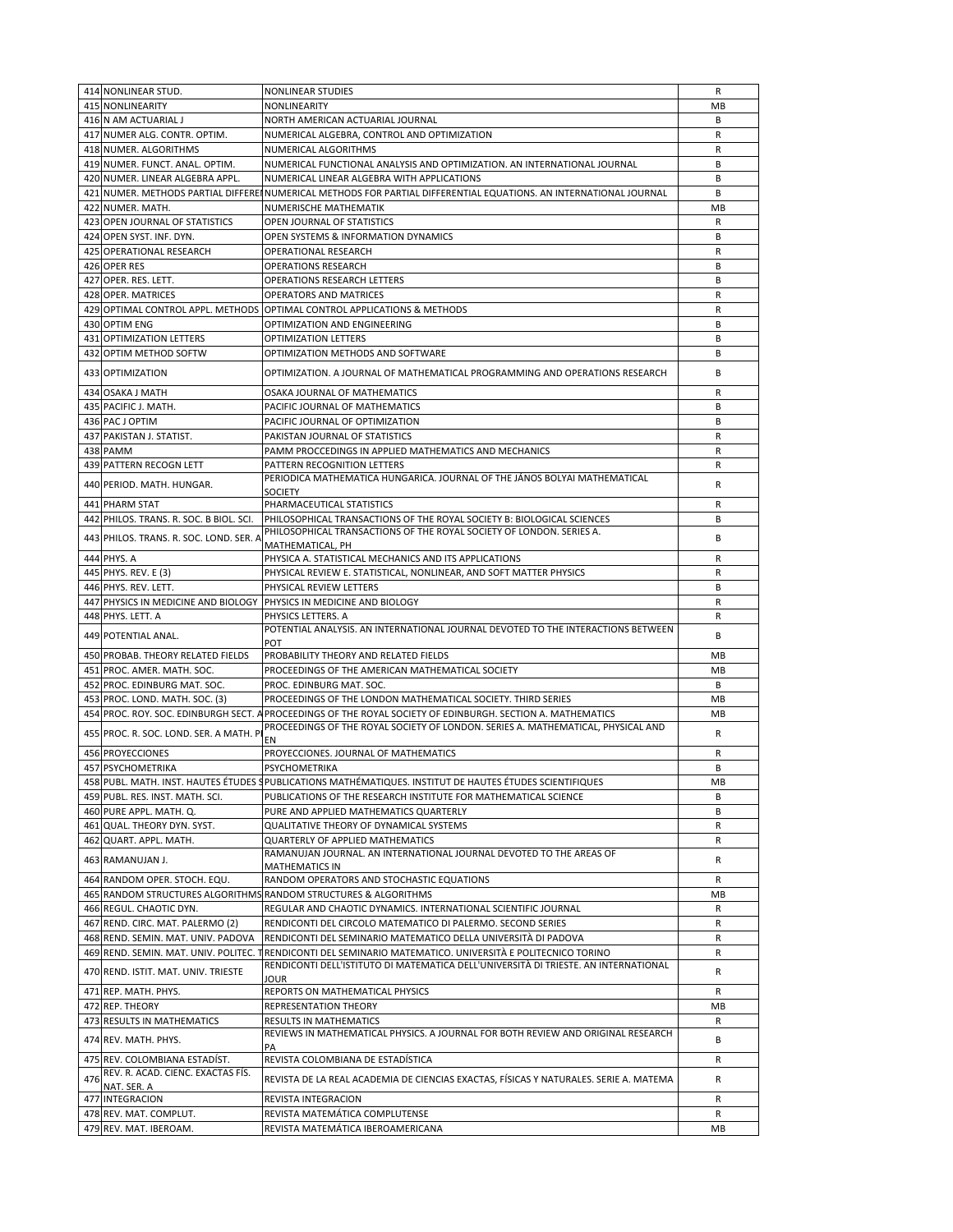|     | 414 NONLINEAR STUD.                              | <b>NONLINEAR STUDIES</b>                                                                                          | R       |
|-----|--------------------------------------------------|-------------------------------------------------------------------------------------------------------------------|---------|
|     | 415 NONLINEARITY                                 | <b>NONLINEARITY</b>                                                                                               | МB      |
|     | 416 N AM ACTUARIAL J                             | NORTH AMERICAN ACTUARIAL JOURNAL                                                                                  | B       |
|     | 417 NUMER ALG. CONTR. OPTIM.                     | NUMERICAL ALGEBRA, CONTROL AND OPTIMIZATION                                                                       | R       |
|     | 418 NUMER. ALGORITHMS                            | NUMERICAL ALGORITHMS                                                                                              | R       |
|     |                                                  |                                                                                                                   |         |
|     | 419 NUMER. FUNCT. ANAL. OPTIM.                   | NUMERICAL FUNCTIONAL ANALYSIS AND OPTIMIZATION. AN INTERNATIONAL JOURNAL                                          | B       |
|     | 420 NUMER. LINEAR ALGEBRA APPL.                  | NUMERICAL LINEAR ALGEBRA WITH APPLICATIONS                                                                        | B       |
|     |                                                  | 421 NUMER. METHODS PARTIAL DIFFEREINUMERICAL METHODS FOR PARTIAL DIFFERENTIAL EQUATIONS. AN INTERNATIONAL JOURNAL | B       |
|     | 422 NUMER. MATH.                                 | NUMERISCHE MATHEMATIK                                                                                             | MB      |
|     |                                                  |                                                                                                                   |         |
|     | 423 OPEN JOURNAL OF STATISTICS                   | OPEN JOURNAL OF STATISTICS                                                                                        | R       |
|     | 424 OPEN SYST. INF. DYN.                         | OPEN SYSTEMS & INFORMATION DYNAMICS                                                                               | B       |
|     | 425 OPERATIONAL RESEARCH                         | <b>OPERATIONAL RESEARCH</b>                                                                                       | R       |
|     | 426 OPER RES                                     | <b>OPERATIONS RESEARCH</b>                                                                                        | B       |
|     | 427 OPER. RES. LETT.                             | <b>OPERATIONS RESEARCH LETTERS</b>                                                                                | В       |
|     |                                                  |                                                                                                                   |         |
|     | 428 OPER. MATRICES                               | OPERATORS AND MATRICES                                                                                            | R       |
|     |                                                  | 429 OPTIMAL CONTROL APPL. METHODS OPTIMAL CONTROL APPLICATIONS & METHODS                                          | R       |
|     | 430 OPTIM ENG                                    | OPTIMIZATION AND ENGINEERING                                                                                      | В       |
|     | 431 OPTIMIZATION LETTERS                         | OPTIMIZATION LETTERS                                                                                              | В       |
|     |                                                  |                                                                                                                   |         |
|     | 432 OPTIM METHOD SOFTW                           | OPTIMIZATION METHODS AND SOFTWARE                                                                                 | В       |
|     | 433 OPTIMIZATION                                 | OPTIMIZATION. A JOURNAL OF MATHEMATICAL PROGRAMMING AND OPERATIONS RESEARCH                                       | B       |
|     |                                                  |                                                                                                                   |         |
|     | 434 OSAKA J MATH                                 | OSAKA JOURNAL OF MATHEMATICS                                                                                      | R       |
|     | 435 PACIFIC J. MATH.                             | PACIFIC JOURNAL OF MATHEMATICS                                                                                    | B       |
|     | 436 PAC J OPTIM                                  | PACIFIC JOURNAL OF OPTIMIZATION                                                                                   | B       |
|     |                                                  |                                                                                                                   |         |
|     | 437 PAKISTAN J. STATIST.                         | PAKISTAN JOURNAL OF STATISTICS                                                                                    | R       |
|     | 438 PAMM                                         | PAMM PROCCEDINGS IN APPLIED MATHEMATICS AND MECHANICS                                                             | R       |
|     | 439 PATTERN RECOGN LETT                          | PATTERN RECOGNITION LETTERS                                                                                       | R       |
|     |                                                  | PERIODICA MATHEMATICA HUNGARICA. JOURNAL OF THE JÁNOS BOLYAI MATHEMATICAL                                         |         |
|     | 440 PERIOD. MATH. HUNGAR.                        | <b>SOCIETY</b>                                                                                                    | R       |
|     | 441 PHARM STAT                                   | PHARMACEUTICAL STATISTICS                                                                                         | R       |
|     |                                                  |                                                                                                                   |         |
|     | 442 PHILOS. TRANS. R. SOC. B BIOL. SCI.          | PHILOSOPHICAL TRANSACTIONS OF THE ROYAL SOCIETY B: BIOLOGICAL SCIENCES                                            | B       |
|     | 443 PHILOS. TRANS. R. SOC. LOND. SER. A          | PHILOSOPHICAL TRANSACTIONS OF THE ROYAL SOCIETY OF LONDON. SERIES A.                                              | B       |
|     |                                                  | MATHEMATICAL, PH                                                                                                  |         |
|     | 444 PHYS. A                                      | PHYSICA A. STATISTICAL MECHANICS AND ITS APPLICATIONS                                                             | R       |
|     | 445 PHYS. REV. E (3)                             | PHYSICAL REVIEW E. STATISTICAL, NONLINEAR, AND SOFT MATTER PHYSICS                                                | R       |
|     | 446 PHYS. REV. LETT.                             | PHYSICAL REVIEW LETTERS                                                                                           | B       |
|     |                                                  |                                                                                                                   |         |
|     |                                                  | 447 PHYSICS IN MEDICINE AND BIOLOGY PHYSICS IN MEDICINE AND BIOLOGY                                               | R       |
|     | 448 PHYS. LETT. A                                | PHYSICS LETTERS. A                                                                                                | R       |
|     | 449 POTENTIAL ANAL.                              | POTENTIAL ANALYSIS. AN INTERNATIONAL JOURNAL DEVOTED TO THE INTERACTIONS BETWEEN                                  | B       |
|     |                                                  | POT                                                                                                               |         |
|     | 450 PROBAB. THEORY RELATED FIELDS                | PROBABILITY THEORY AND RELATED FIELDS                                                                             | MB      |
|     | 451 PROC. AMER. MATH. SOC.                       | PROCEEDINGS OF THE AMERICAN MATHEMATICAL SOCIETY                                                                  | МB      |
|     |                                                  |                                                                                                                   |         |
|     |                                                  | PROC. EDINBURG MAT. SOC.                                                                                          |         |
|     | 452 PROC. EDINBURG MAT. SOC.                     |                                                                                                                   | B       |
|     | 453 PROC. LOND. MATH. SOC. (3)                   | PROCEEDINGS OF THE LONDON MATHEMATICAL SOCIETY. THIRD SERIES                                                      | МB      |
|     |                                                  | 454 PROC. ROY. SOC. EDINBURGH SECT. A PROCEEDINGS OF THE ROYAL SOCIETY OF EDINBURGH. SECTION A. MATHEMATICS       | MB      |
|     |                                                  | PROCEEDINGS OF THE ROYAL SOCIETY OF LONDON. SERIES A. MATHEMATICAL, PHYSICAL AND                                  |         |
|     | 455 PROC. R. SOC. LOND. SER. A MATH. P           |                                                                                                                   | R       |
|     | 456 PROYECCIONES                                 | ΕN<br>PROYECCIONES. JOURNAL OF MATHEMATICS                                                                        | R       |
|     |                                                  |                                                                                                                   |         |
|     | 457 PSYCHOMETRIKA                                | <b>PSYCHOMETRIKA</b>                                                                                              | B       |
|     |                                                  | 458 PUBL. MATH. INST. HAUTES ÉTUDES SPUBLICATIONS MATHÉMATIQUES. INSTITUT DE HAUTES ÉTUDES SCIENTIFIQUES          | MВ      |
|     | 459 PUBL. RES. INST. MATH. SCI.                  | PUBLICATIONS OF THE RESEARCH INSTITUTE FOR MATHEMATICAL SCIENCE                                                   | В       |
|     | 460 PURE APPL. MATH. Q.                          | PURE AND APPLIED MATHEMATICS QUARTERLY                                                                            | В       |
|     |                                                  |                                                                                                                   |         |
|     | 461 QUAL. THEORY DYN. SYST.                      | QUALITATIVE THEORY OF DYNAMICAL SYSTEMS                                                                           | R       |
|     | 462 QUART. APPL. MATH.                           | QUARTERLY OF APPLIED MATHEMATICS                                                                                  | R       |
|     | 463 RAMANUJAN J.                                 | RAMANUJAN JOURNAL. AN INTERNATIONAL JOURNAL DEVOTED TO THE AREAS OF                                               | R       |
|     |                                                  | <b>MATHEMATICS IN</b>                                                                                             |         |
|     | 464 RANDOM OPER. STOCH. EQU.                     | RANDOM OPERATORS AND STOCHASTIC EQUATIONS                                                                         | R       |
|     |                                                  | 465 RANDOM STRUCTURES ALGORITHMS RANDOM STRUCTURES & ALGORITHMS                                                   | MВ      |
|     | 466 REGUL. CHAOTIC DYN.                          | REGULAR AND CHAOTIC DYNAMICS. INTERNATIONAL SCIENTIFIC JOURNAL                                                    | R       |
|     |                                                  |                                                                                                                   |         |
|     | 467 REND. CIRC. MAT. PALERMO (2)                 | RENDICONTI DEL CIRCOLO MATEMATICO DI PALERMO. SECOND SERIES                                                       | R       |
|     | 468 REND. SEMIN. MAT. UNIV. PADOVA               | RENDICONTI DEL SEMINARIO MATEMATICO DELLA UNIVERSITÀ DI PADOVA                                                    | R       |
|     |                                                  | 469 REND. SEMIN. MAT. UNIV. POLITEC. TRENDICONTI DEL SEMINARIO MATEMATICO. UNIVERSITÀ E POLITECNICO TORINO        | R       |
|     |                                                  | RENDICONTI DELL'ISTITUTO DI MATEMATICA DELL'UNIVERSITÀ DI TRIESTE. AN INTERNATIONAL                               |         |
|     | 470 REND. ISTIT. MAT. UNIV. TRIESTE              | JOUR                                                                                                              | R       |
|     | 471 REP. MATH. PHYS.                             | REPORTS ON MATHEMATICAL PHYSICS                                                                                   | R       |
|     |                                                  |                                                                                                                   | MВ      |
|     | 472 REP. THEORY                                  | REPRESENTATION THEORY                                                                                             |         |
|     | 473 RESULTS IN MATHEMATICS                       | <b>RESULTS IN MATHEMATICS</b>                                                                                     | R       |
|     | 474 REV. MATH. PHYS.                             | REVIEWS IN MATHEMATICAL PHYSICS. A JOURNAL FOR BOTH REVIEW AND ORIGINAL RESEARCH                                  | В       |
|     |                                                  | PA                                                                                                                |         |
|     | 475 REV. COLOMBIANA ESTADIST.                    | REVISTA COLOMBIANA DE ESTADÍSTICA                                                                                 | R       |
|     | REV. R. ACAD. CIENC. EXACTAS FIS.                |                                                                                                                   |         |
| 476 | NAT. SER. A                                      | REVISTA DE LA REAL ACADEMIA DE CIENCIAS EXACTAS, FÍSICAS Y NATURALES. SERIE A. MATEMA                             | R       |
|     | 477 INTEGRACION                                  | REVISTA INTEGRACION                                                                                               | R       |
|     |                                                  |                                                                                                                   |         |
|     | 478 REV. MAT. COMPLUT.<br>479 REV. MAT. IBEROAM. | REVISTA MATEMÁTICA COMPLUTENSE<br>REVISTA MATEMÁTICA IBEROAMERICANA                                               | R<br>MВ |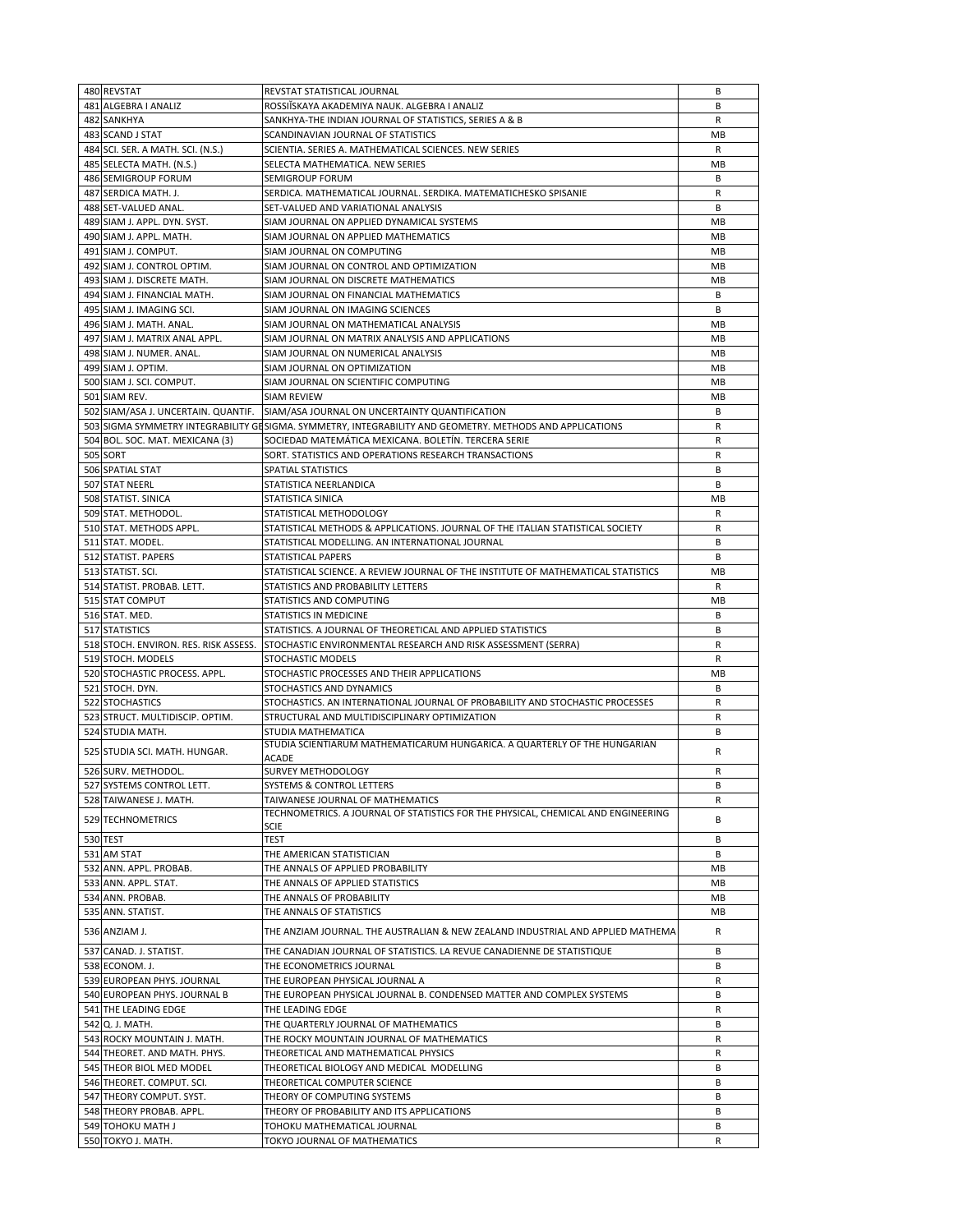| 480 REVSTAT                           | REVSTAT STATISTICAL JOURNAL                                                                              | В            |
|---------------------------------------|----------------------------------------------------------------------------------------------------------|--------------|
| 481 ALGEBRA I ANALIZ                  | ROSSIISKAYA AKADEMIYA NAUK. ALGEBRA I ANALIZ                                                             | B            |
| 482 SANKHYA                           | SANKHYA-THE INDIAN JOURNAL OF STATISTICS, SERIES A & B                                                   | R            |
| 483 SCAND J STAT                      | SCANDINAVIAN JOURNAL OF STATISTICS                                                                       | MB           |
|                                       |                                                                                                          |              |
| 484 SCI. SER. A MATH. SCI. (N.S.)     | SCIENTIA. SERIES A. MATHEMATICAL SCIENCES. NEW SERIES                                                    | R            |
| 485 SELECTA MATH. (N.S.)              | SELECTA MATHEMATICA. NEW SERIES                                                                          | MB           |
| 486 SEMIGROUP FORUM                   | <b>SEMIGROUP FORUM</b>                                                                                   | B            |
| 487 SERDICA MATH. J.                  | SERDICA. MATHEMATICAL JOURNAL. SERDIKA. MATEMATICHESKO SPISANIE                                          | R            |
| 488 SET-VALUED ANAL.                  | SET-VALUED AND VARIATIONAL ANALYSIS                                                                      | B            |
|                                       |                                                                                                          |              |
| 489 SIAM J. APPL. DYN. SYST.          | SIAM JOURNAL ON APPLIED DYNAMICAL SYSTEMS                                                                | МB           |
| 490 SIAM J. APPL. MATH.               | SIAM JOURNAL ON APPLIED MATHEMATICS                                                                      | МB           |
| 491 SIAM J. COMPUT.                   | SIAM JOURNAL ON COMPUTING                                                                                | MB           |
| 492 SIAM J. CONTROL OPTIM.            | SIAM JOURNAL ON CONTROL AND OPTIMIZATION                                                                 | MB           |
| 493 SIAM J. DISCRETE MATH.            | SIAM JOURNAL ON DISCRETE MATHEMATICS                                                                     | МB           |
|                                       | SIAM JOURNAL ON FINANCIAL MATHEMATICS                                                                    | B            |
| 494 SIAM J. FINANCIAL MATH.           |                                                                                                          |              |
| 495 SIAM J. IMAGING SCI.              | SIAM JOURNAL ON IMAGING SCIENCES                                                                         | B            |
| 496 SIAM J. MATH. ANAL.               | SIAM JOURNAL ON MATHEMATICAL ANALYSIS                                                                    | МB           |
| 497 SIAM J. MATRIX ANAL APPL.         | SIAM JOURNAL ON MATRIX ANALYSIS AND APPLICATIONS                                                         | МB           |
| 498 SIAM J. NUMER. ANAL.              | SIAM JOURNAL ON NUMERICAL ANALYSIS                                                                       | MB           |
|                                       |                                                                                                          |              |
| 499 SIAM J. OPTIM.                    | SIAM JOURNAL ON OPTIMIZATION                                                                             | MB           |
| 500 SIAM J. SCI. COMPUT.              | SIAM JOURNAL ON SCIENTIFIC COMPUTING                                                                     | MB           |
| 501 SIAM REV.                         | SIAM REVIEW                                                                                              | MB           |
| 502 SIAM/ASA J. UNCERTAIN. QUANTIF.   | SIAM/ASA JOURNAL ON UNCERTAINTY QUANTIFICATION                                                           | B            |
|                                       | 503 SIGMA SYMMETRY INTEGRABILITY GESIGMA. SYMMETRY, INTEGRABILITY AND GEOMETRY. METHODS AND APPLICATIONS | R            |
|                                       |                                                                                                          |              |
| 504 BOL. SOC. MAT. MEXICANA (3)       | SOCIEDAD MATEMÁTICA MEXICANA. BOLETÍN. TERCERA SERIE                                                     | R            |
| 505 SORT                              | SORT. STATISTICS AND OPERATIONS RESEARCH TRANSACTIONS                                                    | R            |
| 506 SPATIAL STAT                      | SPATIAL STATISTICS                                                                                       | В            |
| 507 STAT NEERL                        | STATISTICA NEERLANDICA                                                                                   | В            |
| 508 STATIST. SINICA                   | STATISTICA SINICA                                                                                        | MB           |
|                                       |                                                                                                          |              |
| 509 STAT. METHODOL.                   | STATISTICAL METHODOLOGY                                                                                  | R            |
| 510 STAT. METHODS APPL.               | STATISTICAL METHODS & APPLICATIONS. JOURNAL OF THE ITALIAN STATISTICAL SOCIETY                           | $\mathsf{R}$ |
| 511 STAT. MODEL.                      | STATISTICAL MODELLING. AN INTERNATIONAL JOURNAL                                                          | В            |
| 512 STATIST. PAPERS                   | STATISTICAL PAPERS                                                                                       | B            |
| 513 STATIST. SCI.                     | STATISTICAL SCIENCE. A REVIEW JOURNAL OF THE INSTITUTE OF MATHEMATICAL STATISTICS                        | МB           |
|                                       |                                                                                                          | R            |
| 514 STATIST. PROBAB. LETT.            | STATISTICS AND PROBABILITY LETTERS                                                                       |              |
| 515 STAT COMPUT                       | STATISTICS AND COMPUTING                                                                                 | MB           |
| 516 STAT. MED.                        | STATISTICS IN MEDICINE                                                                                   | В            |
| 517 STATISTICS                        | STATISTICS. A JOURNAL OF THEORETICAL AND APPLIED STATISTICS                                              | B            |
| 518 STOCH. ENVIRON. RES. RISK ASSESS. | STOCHASTIC ENVIRONMENTAL RESEARCH AND RISK ASSESSMENT (SERRA)                                            | R            |
| 519 STOCH. MODELS                     | STOCHASTIC MODELS                                                                                        | R            |
|                                       |                                                                                                          |              |
| 520 STOCHASTIC PROCESS. APPL.         | STOCHASTIC PROCESSES AND THEIR APPLICATIONS                                                              | MB           |
| 521 STOCH. DYN.                       | STOCHASTICS AND DYNAMICS                                                                                 | В            |
| 522 STOCHASTICS                       | STOCHASTICS. AN INTERNATIONAL JOURNAL OF PROBABILITY AND STOCHASTIC PROCESSES                            | R            |
| 523 STRUCT. MULTIDISCIP. OPTIM.       | STRUCTURAL AND MULTIDISCIPLINARY OPTIMIZATION                                                            | R            |
| 524 STUDIA MATH.                      | STUDIA MATHEMATICA                                                                                       | В            |
|                                       | STUDIA SCIENTIARUM MATHEMATICARUM HUNGARICA. A QUARTERLY OF THE HUNGARIAN                                |              |
| 525 STUDIA SCI. MATH. HUNGAR.         |                                                                                                          | R            |
|                                       | <b>ACADE</b>                                                                                             |              |
| 526 SURV. METHODOL.                   | SURVEY METHODOLOGY                                                                                       | R            |
| 527 SYSTEMS CONTROL LETT.             | SYSTEMS & CONTROL LETTERS                                                                                | В            |
| 528 TAIWANESE J. MATH.                | TAIWANESE JOURNAL OF MATHEMATICS                                                                         | R            |
|                                       | TECHNOMETRICS. A JOURNAL OF STATISTICS FOR THE PHYSICAL, CHEMICAL AND ENGINEERING                        |              |
| 529 TECHNOMETRICS                     | SCIE                                                                                                     | В            |
| 530 TEST                              | TEST                                                                                                     | В            |
| 531 AM STAT                           | THE AMERICAN STATISTICIAN                                                                                | В            |
|                                       |                                                                                                          |              |
| 532 ANN. APPL. PROBAB.                | THE ANNALS OF APPLIED PROBABILITY                                                                        | MВ           |
| 533 ANN. APPL. STAT.                  | THE ANNALS OF APPLIED STATISTICS                                                                         | MB           |
| 534 ANN. PROBAB.                      | THE ANNALS OF PROBABILITY                                                                                | MВ           |
| 535 ANN. STATIST.                     | THE ANNALS OF STATISTICS                                                                                 | MВ           |
|                                       |                                                                                                          |              |
| 536 ANZIAM J.                         | THE ANZIAM JOURNAL. THE AUSTRALIAN & NEW ZEALAND INDUSTRIAL AND APPLIED MATHEMA                          | R            |
| 537 CANAD. J. STATIST.                | THE CANADIAN JOURNAL OF STATISTICS. LA REVUE CANADIENNE DE STATISTIQUE                                   | В            |
| 538 ECONOM. J.                        | THE ECONOMETRICS JOURNAL                                                                                 | В            |
| 539 EUROPEAN PHYS. JOURNAL            | THE EUROPEAN PHYSICAL JOURNAL A                                                                          | R            |
|                                       |                                                                                                          |              |
| 540 EUROPEAN PHYS. JOURNAL B          | THE EUROPEAN PHYSICAL JOURNAL B. CONDENSED MATTER AND COMPLEX SYSTEMS                                    | В            |
| 541 THE LEADING EDGE                  | THE LEADING EDGE                                                                                         | R            |
| 542 Q. J. MATH.                       | THE QUARTERLY JOURNAL OF MATHEMATICS                                                                     | В            |
| 543 ROCKY MOUNTAIN J. MATH.           | THE ROCKY MOUNTAIN JOURNAL OF MATHEMATICS                                                                | R            |
| 544 THEORET. AND MATH. PHYS.          | THEORETICAL AND MATHEMATICAL PHYSICS                                                                     | R            |
|                                       |                                                                                                          |              |
| 545 THEOR BIOL MED MODEL              | THEORETICAL BIOLOGY AND MEDICAL MODELLING                                                                | В            |
| 546 THEORET. COMPUT. SCI.             | THEORETICAL COMPUTER SCIENCE                                                                             | в            |
| 547 THEORY COMPUT. SYST.              | THEORY OF COMPUTING SYSTEMS                                                                              | B            |
| 548 THEORY PROBAB. APPL.              | THEORY OF PROBABILITY AND ITS APPLICATIONS                                                               | B            |
| 549 TOHOKU MATH J                     | TOHOKU MATHEMATICAL JOURNAL                                                                              | В            |
|                                       |                                                                                                          |              |
| 550 TOKYO J. MATH.                    | TOKYO JOURNAL OF MATHEMATICS                                                                             | R            |